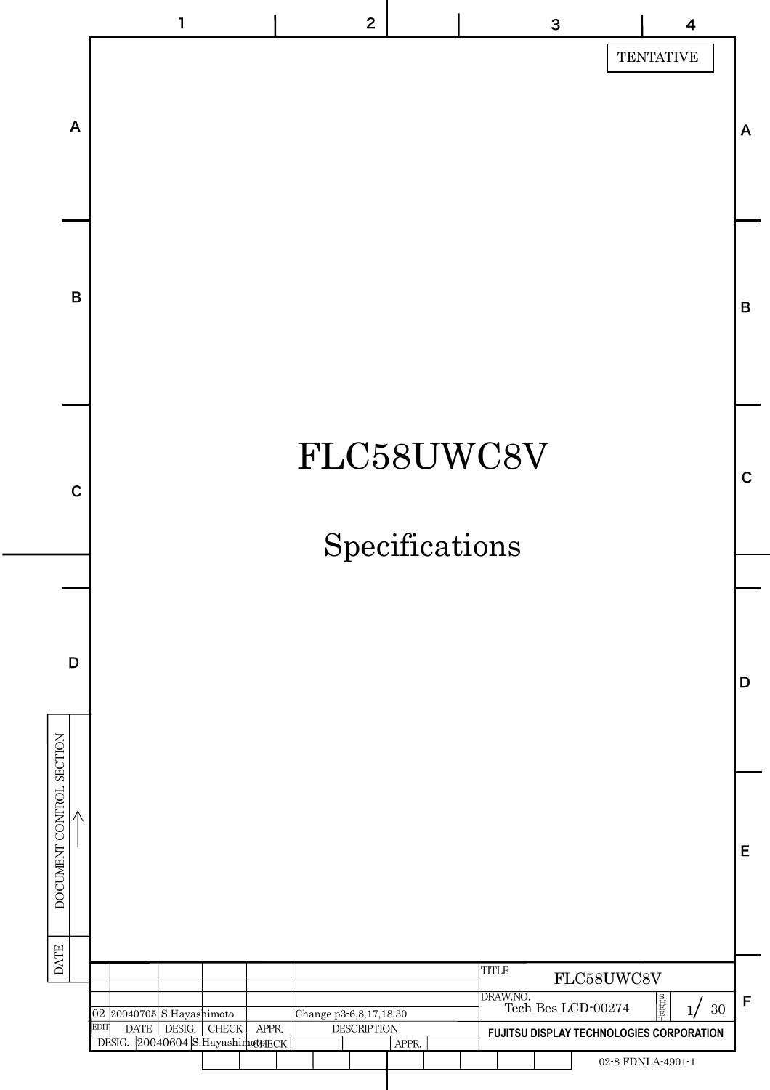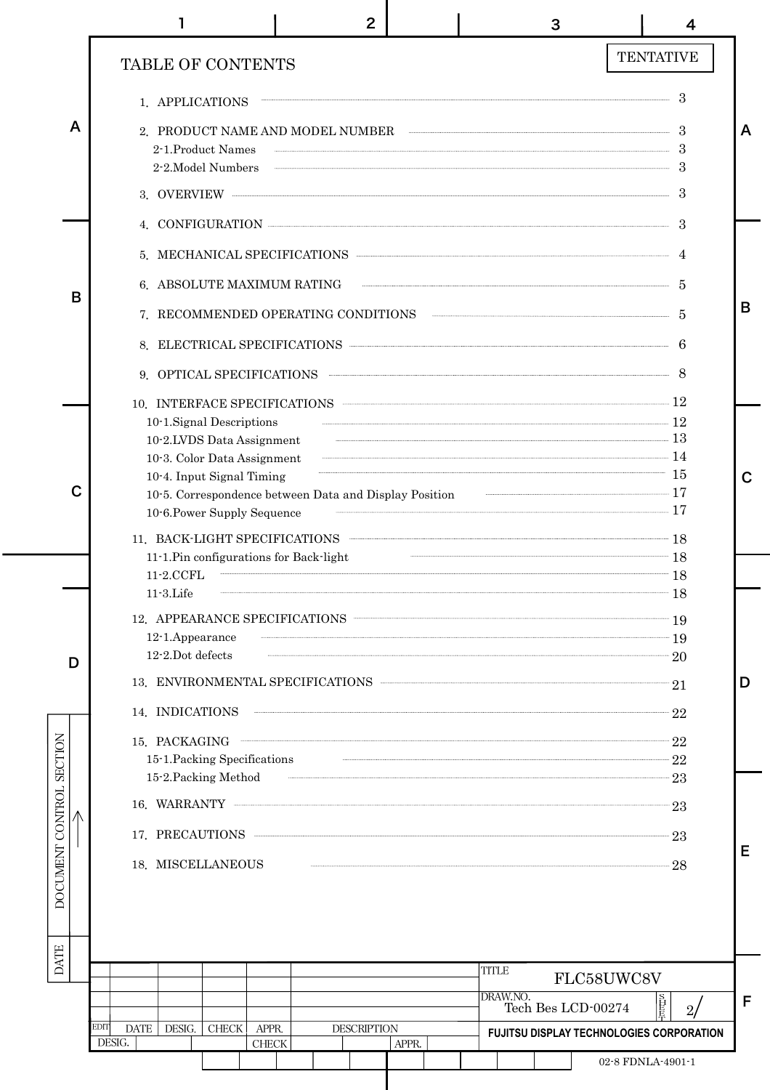|                          |   |                                                                                                                                                                                                                                | 2                  |       | 3                                                                                                                                                                                                                                                                                                                                                                                                                                                   | 4                                               |             |
|--------------------------|---|--------------------------------------------------------------------------------------------------------------------------------------------------------------------------------------------------------------------------------|--------------------|-------|-----------------------------------------------------------------------------------------------------------------------------------------------------------------------------------------------------------------------------------------------------------------------------------------------------------------------------------------------------------------------------------------------------------------------------------------------------|-------------------------------------------------|-------------|
|                          |   | <b>TABLE OF CONTENTS</b>                                                                                                                                                                                                       |                    |       |                                                                                                                                                                                                                                                                                                                                                                                                                                                     | <b>TENTATIVE</b>                                |             |
|                          |   | 1. APPLICATIONS                                                                                                                                                                                                                |                    |       |                                                                                                                                                                                                                                                                                                                                                                                                                                                     |                                                 |             |
|                          | A | 2. PRODUCT NAME AND MODEL NUMBER 3<br>2-1.Product Names<br>$2$ -2. Model Numbers $\qquad \qquad \frac{3}{2}$                                                                                                                   |                    |       | $\overline{\phantom{a}}$ 3                                                                                                                                                                                                                                                                                                                                                                                                                          |                                                 | A           |
|                          |   | 3. OVERVIEW EXAMPLE A SERVICE SERVICE SUBSEXUAL SUBSEXUAL SUBSEXUAL SUBSEXUAL SUBSEXUAL SUBSEXUAL SUBSEXUAL SUBSEXUAL SUBSEXUAL SUBSEXUAL SUBSEXUAL SUBSEXUAL SUBSEXUAL SUBSEXUAL SUBSEXUAL SUBSEXUAL SUBSEXUAL SUBSEXUAL SUBS |                    |       |                                                                                                                                                                                                                                                                                                                                                                                                                                                     | -3                                              |             |
|                          |   | 4. CONFIGURATION                                                                                                                                                                                                               |                    |       |                                                                                                                                                                                                                                                                                                                                                                                                                                                     | -3                                              |             |
|                          |   | 5. MECHANICAL SPECIFICATIONS 4                                                                                                                                                                                                 |                    |       |                                                                                                                                                                                                                                                                                                                                                                                                                                                     |                                                 |             |
|                          | B | 6. ABSOLUTE MAXIMUM RATING $\qquad \qquad$ 5                                                                                                                                                                                   |                    |       |                                                                                                                                                                                                                                                                                                                                                                                                                                                     |                                                 |             |
|                          |   |                                                                                                                                                                                                                                |                    |       |                                                                                                                                                                                                                                                                                                                                                                                                                                                     |                                                 | B           |
|                          |   | 8. ELECTRICAL SPECIFICATIONS 6                                                                                                                                                                                                 |                    |       |                                                                                                                                                                                                                                                                                                                                                                                                                                                     |                                                 |             |
|                          |   |                                                                                                                                                                                                                                |                    |       |                                                                                                                                                                                                                                                                                                                                                                                                                                                     |                                                 |             |
|                          |   | 10. INTERFACE SPECIFICATIONS 12                                                                                                                                                                                                |                    |       |                                                                                                                                                                                                                                                                                                                                                                                                                                                     |                                                 |             |
|                          |   | 10-1.Signal Descriptions<br>10.2.LVDS Data Assignment 13                                                                                                                                                                       |                    |       |                                                                                                                                                                                                                                                                                                                                                                                                                                                     |                                                 |             |
|                          |   | 10-3. Color Data Assignment 14                                                                                                                                                                                                 |                    |       | $\begin{array}{c c c c c} \hline \multicolumn{3}{c }{\textbf{15}} & \multicolumn{2}{c }{\textbf{5}} \\ \hline \multicolumn{2}{c }{\textbf{15}} & \multicolumn{2}{c }{\textbf{15}} & \multicolumn{2}{c }{\textbf{15}} \\ \hline \multicolumn{2}{c }{\textbf{15}} & \multicolumn{2}{c }{\textbf{15}} & \multicolumn{2}{c }{\textbf{15}} \\ \hline \multicolumn{2}{c }{\textbf{15}} & \multicolumn{2}{c }{\textbf{15}} & \multicolumn{2}{c }{\textbf{$ |                                                 |             |
|                          | C | 10-4. Input Signal Timing<br>10-5. Correspondence between Data and Display Position 17                                                                                                                                         |                    |       |                                                                                                                                                                                                                                                                                                                                                                                                                                                     |                                                 | $\mathbf C$ |
|                          |   | 10-6. Power Supply Sequence                                                                                                                                                                                                    |                    |       |                                                                                                                                                                                                                                                                                                                                                                                                                                                     |                                                 |             |
|                          |   | 11. BACK-LIGHT SPECIFICATIONS <b>CONSERVERS</b> 28                                                                                                                                                                             |                    |       |                                                                                                                                                                                                                                                                                                                                                                                                                                                     |                                                 |             |
|                          |   | 11-1. Pin configurations for Back-light<br>11-2.CCFL                                                                                                                                                                           |                    |       | $\sim$ 18                                                                                                                                                                                                                                                                                                                                                                                                                                           |                                                 |             |
|                          |   | $11-3$ . Life                                                                                                                                                                                                                  |                    |       | $\overline{\phantom{a}}$ 18                                                                                                                                                                                                                                                                                                                                                                                                                         |                                                 |             |
|                          |   | 12. APPEARANCE SPECIFICATIONS <b>CONSUMING A PROPERTY OF A PROPERTY OF A P</b>                                                                                                                                                 |                    |       | $\overline{\phantom{a}}$ 19                                                                                                                                                                                                                                                                                                                                                                                                                         |                                                 |             |
|                          |   | 12-1.Appearance<br>12-2.Dot defects                                                                                                                                                                                            |                    |       | $\overline{\phantom{a}20}$                                                                                                                                                                                                                                                                                                                                                                                                                          |                                                 |             |
|                          | D | 13. ENVIRONMENTAL SPECIFICATIONS                                                                                                                                                                                               |                    |       |                                                                                                                                                                                                                                                                                                                                                                                                                                                     | 21                                              | D           |
|                          |   | 14. INDICATIONS                                                                                                                                                                                                                |                    |       |                                                                                                                                                                                                                                                                                                                                                                                                                                                     | 22                                              |             |
|                          |   | 15. PACKAGING 22                                                                                                                                                                                                               |                    |       |                                                                                                                                                                                                                                                                                                                                                                                                                                                     |                                                 |             |
|                          |   | 15-1. Packing Specifications 22                                                                                                                                                                                                |                    |       |                                                                                                                                                                                                                                                                                                                                                                                                                                                     |                                                 |             |
|                          |   | 15-2. Packing Method 23<br>16. WARRANTY                                                                                                                                                                                        |                    |       |                                                                                                                                                                                                                                                                                                                                                                                                                                                     |                                                 |             |
|                          |   |                                                                                                                                                                                                                                |                    |       |                                                                                                                                                                                                                                                                                                                                                                                                                                                     | 23                                              |             |
|                          |   |                                                                                                                                                                                                                                |                    |       |                                                                                                                                                                                                                                                                                                                                                                                                                                                     | 23                                              | E           |
| DOCUMENT CONTROL SECTION |   | 18. MISCELLANEOUS                                                                                                                                                                                                              |                    |       |                                                                                                                                                                                                                                                                                                                                                                                                                                                     | 28                                              |             |
|                          |   |                                                                                                                                                                                                                                |                    |       |                                                                                                                                                                                                                                                                                                                                                                                                                                                     |                                                 |             |
|                          |   |                                                                                                                                                                                                                                |                    |       |                                                                                                                                                                                                                                                                                                                                                                                                                                                     |                                                 |             |
| <b>DATE</b>              |   |                                                                                                                                                                                                                                |                    |       | <b>TITLE</b>                                                                                                                                                                                                                                                                                                                                                                                                                                        |                                                 |             |
|                          |   |                                                                                                                                                                                                                                |                    |       | DRAW.NO.                                                                                                                                                                                                                                                                                                                                                                                                                                            | FLC58UWC8V                                      | F           |
|                          |   | EDIT<br><b>DATE</b><br><b>CHECK</b><br>APPR.<br>DESIG.                                                                                                                                                                         | <b>DESCRIPTION</b> |       | Tech Bes LCD-00274                                                                                                                                                                                                                                                                                                                                                                                                                                  | $\overline{2}l$                                 |             |
|                          |   | DESIG.<br><b>CHECK</b>                                                                                                                                                                                                         |                    | APPR. |                                                                                                                                                                                                                                                                                                                                                                                                                                                     | <b>FUJITSU DISPLAY TECHNOLOGIES CORPORATION</b> |             |
|                          |   |                                                                                                                                                                                                                                |                    |       |                                                                                                                                                                                                                                                                                                                                                                                                                                                     | 02-8 FDNLA-4901-1                               |             |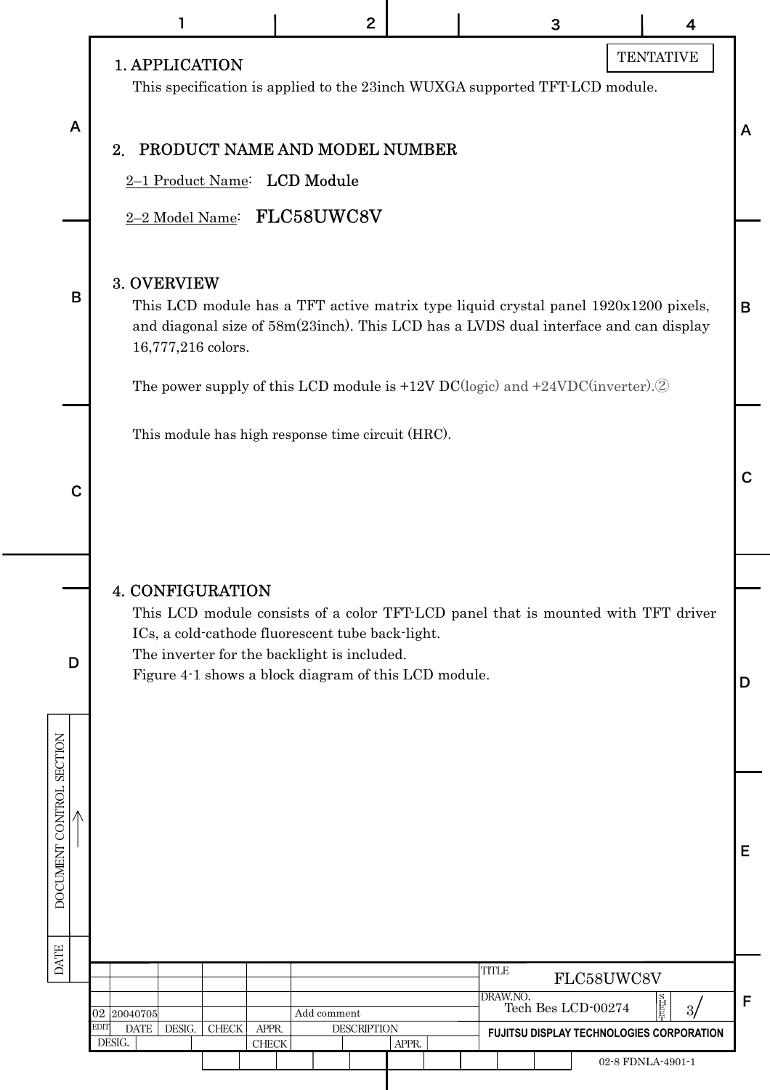|                          |                                                                                                                                                                                                                                                                         | $\overline{2}$                    |       | 3                              | 4                                                             |              |
|--------------------------|-------------------------------------------------------------------------------------------------------------------------------------------------------------------------------------------------------------------------------------------------------------------------|-----------------------------------|-------|--------------------------------|---------------------------------------------------------------|--------------|
|                          | <b>1. APPLICATION</b><br>This specification is applied to the 23inch WUXGA supported TFT-LCD module.                                                                                                                                                                    |                                   |       |                                | <b>TENTATIVE</b>                                              |              |
| A                        | PRODUCT NAME AND MODEL NUMBER<br>$2_{\cdot}$<br>2-1 Product Name: LCD Module                                                                                                                                                                                            |                                   |       |                                |                                                               | $\mathsf{A}$ |
|                          | 2-2 Model Name: FLC58UWC8V                                                                                                                                                                                                                                              |                                   |       |                                |                                                               |              |
| B                        | 3. OVERVIEW<br>This LCD module has a TFT active matrix type liquid crystal panel 1920x1200 pixels,<br>and diagonal size of 58m(23inch). This LCD has a LVDS dual interface and can display<br>16,777,216 colors.                                                        |                                   |       |                                |                                                               | B            |
|                          | The power supply of this LCD module is $+12V$ DC(logic) and $+24VDC$ (inverter). <sup>2</sup>                                                                                                                                                                           |                                   |       |                                |                                                               |              |
|                          | This module has high response time circuit (HRC).                                                                                                                                                                                                                       |                                   |       |                                |                                                               |              |
| С                        |                                                                                                                                                                                                                                                                         |                                   |       |                                |                                                               | $\mathbf C$  |
|                          |                                                                                                                                                                                                                                                                         |                                   |       |                                |                                                               |              |
| D                        | <b>4. CONFIGURATION</b><br>This LCD module consists of a color TFT-LCD panel that is mounted with TFT driver<br>ICs, a cold-cathode fluorescent tube back-light.<br>The inverter for the backlight is included.<br>Figure 4-1 shows a block diagram of this LCD module. |                                   |       |                                |                                                               | D            |
|                          |                                                                                                                                                                                                                                                                         |                                   |       |                                |                                                               |              |
| DOCUMENT CONTROL SECTION |                                                                                                                                                                                                                                                                         |                                   |       |                                |                                                               | Е            |
| <b>DATE</b>              |                                                                                                                                                                                                                                                                         |                                   |       | <b>TITLE</b>                   | FLC58UWC8V                                                    |              |
|                          | 02 20040705<br>EDIT<br>DATA<br>DESIG.<br>${\rm CHECK}$<br>APPR.                                                                                                                                                                                                         | Add comment<br><b>DESCRIPTION</b> |       | DRAW.NO.<br>Tech Bes LCD-00274 | 直長<br>3/                                                      | F            |
|                          | DESIG.<br>${\rm CHECK}$                                                                                                                                                                                                                                                 |                                   | APPR. |                                | FUJITSU DISPLAY TECHNOLOGIES CORPORATION<br>02-8 FDNLA-4901-1 |              |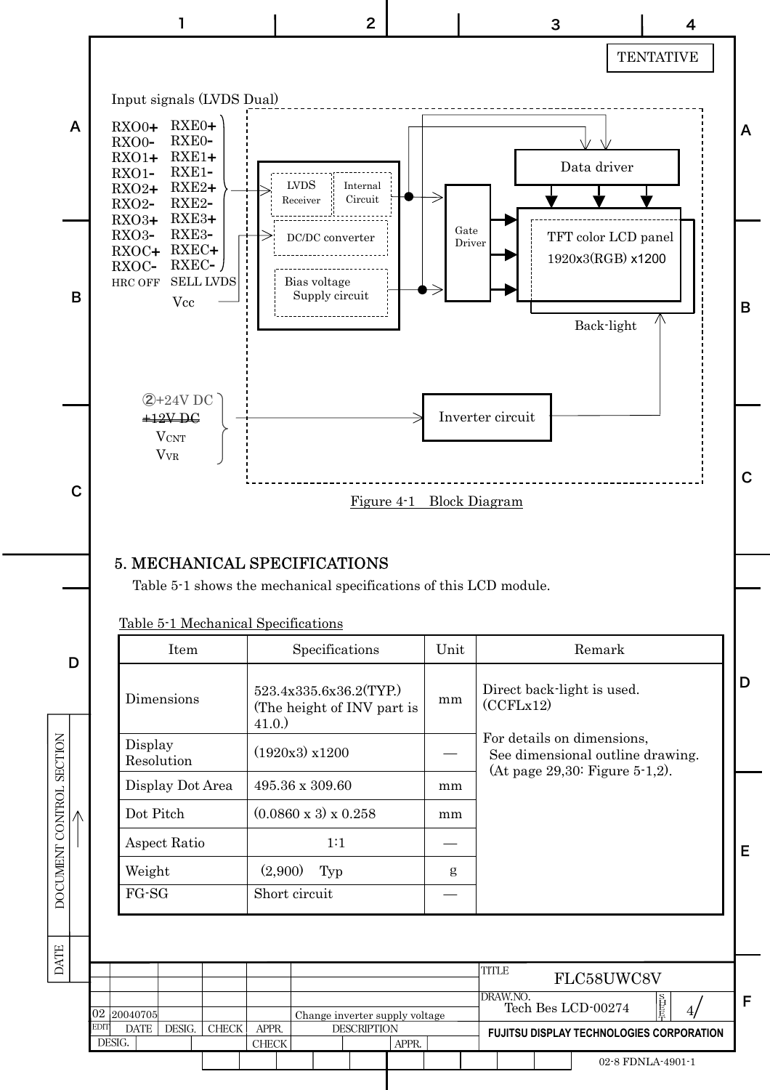

### 5. MECHANICAL SPECIFICATIONS

Table 5-1 shows the mechanical specifications of this LCD module.

| Item                  | Specifications                                                    | Unit | Remark                                                                                           |
|-----------------------|-------------------------------------------------------------------|------|--------------------------------------------------------------------------------------------------|
| Dimensions            | 523.4x335.6x36.2(TYP.)<br>(The height of INV part is<br>$41.0.$ ) | mm   | Direct back-light is used.<br>(CCFLx12)                                                          |
| Display<br>Resolution | $(1920x3)$ x1200                                                  |      | For details on dimensions,<br>See dimensional outline drawing.<br>(At page 29,30: Figure 5-1,2). |
| Display Dot Area      | 495.36 x 309.60                                                   | mm   |                                                                                                  |
| Dot Pitch             | $(0.0860 \times 3) \times 0.258$                                  | mm   |                                                                                                  |
| Aspect Ratio          | 1:1                                                               |      |                                                                                                  |
| Weight                | (2,900)<br>Typ                                                    | g    |                                                                                                  |
| $FG-SG$               | Short circuit                                                     |      |                                                                                                  |

D

E

Table 5-1 Mechanical Specifications

D

DATE DOCUMENT CONTROL SECTION

DATE

DOCUMENT CONTROL SECTION

|                       |      |        |              |                |                                |                    |       | <b>TITLE</b> |           | FLC58UWC8V                                      |    |   |
|-----------------------|------|--------|--------------|----------------|--------------------------------|--------------------|-------|--------------|-----------|-------------------------------------------------|----|---|
| 02 20040705           |      |        |              |                | Change inverter supply voltage |                    |       |              | IDRAW.NO. | Tech Bes LCD-00274                              | 百長 | с |
| <b>EDIT</b><br>DESIG. | DATE | DESIG. | <b>CHECK</b> | APPR.<br>CHECK |                                | <b>DESCRIPTION</b> | APPR. |              |           | <b>FUJITSU DISPLAY TECHNOLOGIES CORPORATION</b> |    |   |
|                       |      |        |              |                |                                |                    |       |              |           | 02-8 FDNLA-4901-1                               |    |   |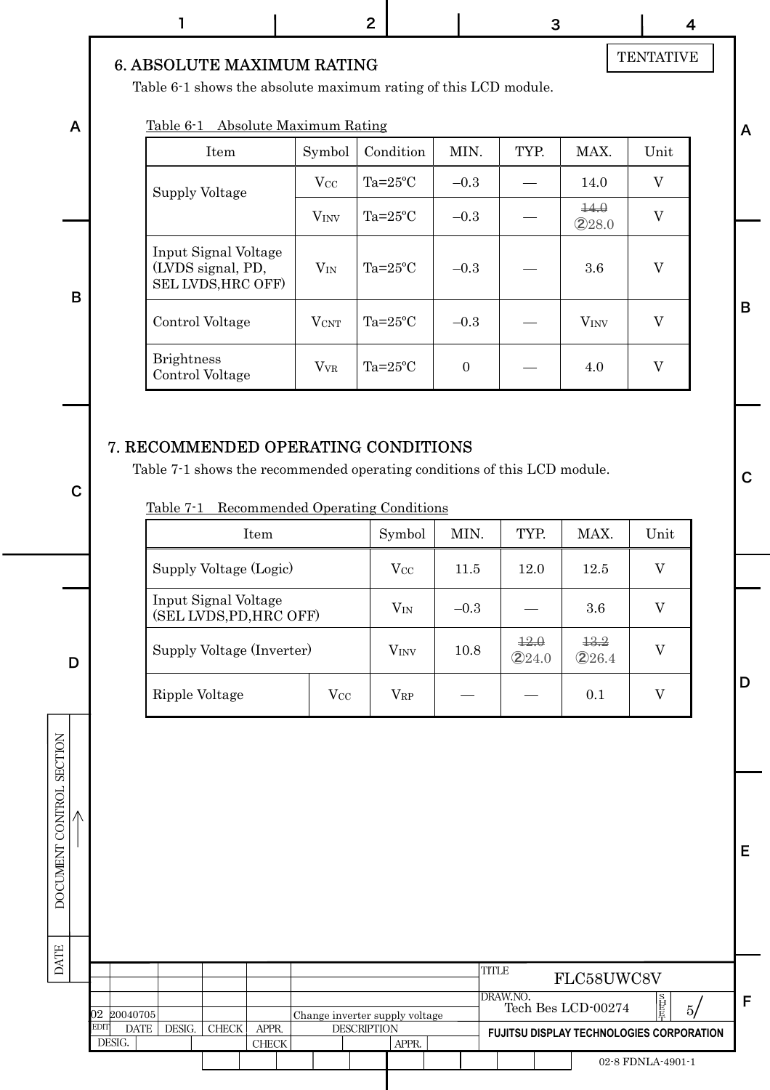A

B

C

D

DATE DOCUMENT CONTROL SECTION

**DATE** 

DOCUMENT CONTROL SECTION  $\overline{\Lambda}$ 

#### 6. ABSOLUTE MAXIMUM RATING

Table 6-1 shows the absolute maximum rating of this LCD module.

#### Table 6-1 Absolute Maximum Rating

| Item                                                            | Symbol                  | Condition        | MIN.             | TYP. | MAX.                    | Unit |
|-----------------------------------------------------------------|-------------------------|------------------|------------------|------|-------------------------|------|
| Supply Voltage                                                  | $\rm V_{CC}$            | $Ta=25^{\circ}C$ | $-0.3$           |      | 14.0                    | V    |
|                                                                 | <b>V</b> <sub>INV</sub> | $Ta=25^{\circ}C$ | $-0.3$           |      | $\pm 4.0$<br>$Q$ 28.0   | V    |
| Input Signal Voltage<br>(LVDS signal, PD,<br>SEL LVDS, HRC OFF) | $V_{IN}$                | $Ta=25^{\circ}C$ | $-0.3$           |      | 3.6                     | V    |
| Control Voltage                                                 | $V_{\rm CNT}$           | $Ta=25^{\circ}C$ | $-0.3$           |      | <b>V</b> <sub>INV</sub> | V    |
| <b>Brightness</b><br>Control Voltage                            | <b>V</b> <sub>VR</sub>  | $Ta=25^{\circ}C$ | $\boldsymbol{0}$ |      | 4.0                     | V    |

### 7. RECOMMENDED OPERATING CONDITIONS

Table 7-1 shows the recommended operating conditions of this LCD module.

| Recommended Operating Conditions<br>Table 7-1   |                  |                  |        |                            |                              |      |
|-------------------------------------------------|------------------|------------------|--------|----------------------------|------------------------------|------|
| <b>Item</b>                                     |                  | Symbol           | MIN.   | TYP.                       | MAX.                         | Unit |
| Supply Voltage (Logic)                          |                  | $\rm V_{\rm CC}$ | 11.5   | 12.0                       | 12.5                         | V    |
| Input Signal Voltage<br>(SEL LVDS, PD, HRC OFF) |                  | $V_{IN}$         | $-0.3$ |                            | 3.6                          | V    |
| Supply Voltage (Inverter)                       |                  | V <sub>INV</sub> | 10.8   | $\frac{12}{2}$<br>$Q$ 24.0 | $\frac{12.2}{1}$<br>$Q$ 26.4 | W    |
| Ripple Voltage                                  | $\rm V_{\rm CC}$ | Vrp              |        |                            | 0.1                          |      |

EDIT DESIG. CHECK APPR. DATE DESIG. CHECK APPR. DESCRIPTION 5/ F FLC58UWC8V **FUJITSU DISPLAY TECHNOLOGIES CORPORATION** 02-8 FDNLA-4901-1 **TITLE** DRAW.NO. Tech Bes LCD-00274 APPR.  $\overline{s}$ H E E 革 02 20040705 Change inverter supply voltage

# **TENTATIVE**

A

B

C

D

E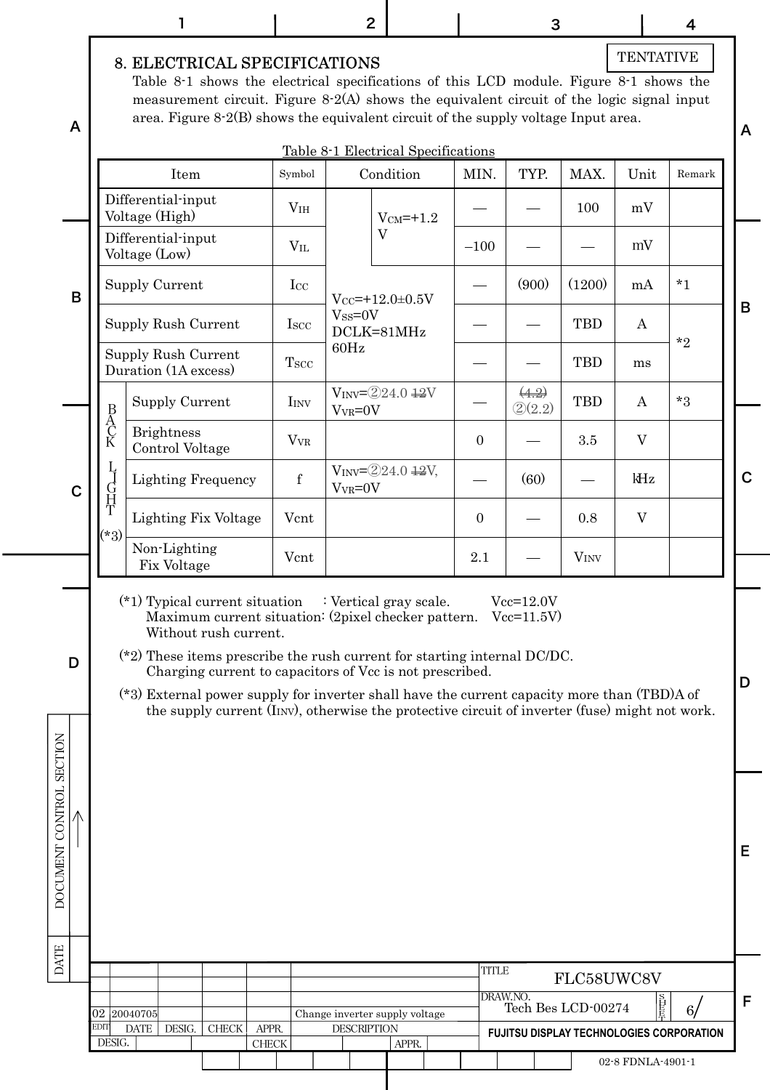|                          |             |                                                   | 1                                                                                                                                                                                                                                   |                                                                                                                                                                                                                                                                               |                       |                  | $\mathbf{2}$                      |                                                  |                     | 3                          |                                  |                   | 4                                        |             |
|--------------------------|-------------|---------------------------------------------------|-------------------------------------------------------------------------------------------------------------------------------------------------------------------------------------------------------------------------------------|-------------------------------------------------------------------------------------------------------------------------------------------------------------------------------------------------------------------------------------------------------------------------------|-----------------------|------------------|-----------------------------------|--------------------------------------------------|---------------------|----------------------------|----------------------------------|-------------------|------------------------------------------|-------------|
| A                        |             |                                                   | 8. ELECTRICAL SPECIFICATIONS                                                                                                                                                                                                        | Table 8-1 shows the electrical specifications of this LCD module. Figure 8-1 shows the<br>measurement circuit. Figure $8-2(A)$ shows the equivalent circuit of the logic signal input<br>area. Figure $8-2(B)$ shows the equivalent circuit of the supply voltage Input area. |                       |                  |                                   |                                                  |                     |                            |                                  | <b>TENTATIVE</b>  |                                          | A           |
|                          |             |                                                   | Item                                                                                                                                                                                                                                |                                                                                                                                                                                                                                                                               | Symbol                |                  |                                   | Table 8-1 Electrical Specifications<br>Condition | MIN.                | TYP.                       | MAX.                             | Unit              | Remark                                   |             |
|                          |             |                                                   | Differential-input<br>Voltage (High)                                                                                                                                                                                                |                                                                                                                                                                                                                                                                               |                       | V <sub>IH</sub>  |                                   | $V_{CM} = +1.2$                                  |                     |                            | 100                              | mV                |                                          |             |
|                          |             |                                                   | Differential-input<br>Voltage (Low)                                                                                                                                                                                                 |                                                                                                                                                                                                                                                                               |                       | $V_{IL}$         |                                   | $\overline{V}$                                   | $-100$              |                            |                                  | mV                |                                          |             |
|                          | B           |                                                   | Supply Current                                                                                                                                                                                                                      |                                                                                                                                                                                                                                                                               |                       | $_{\rm LCC}$     |                                   | $V_{CC} = +12.0 \pm 0.5 V$                       |                     | (900)                      | (1200)                           | mA                | $*1$                                     | B           |
|                          |             |                                                   | <b>Supply Rush Current</b>                                                                                                                                                                                                          |                                                                                                                                                                                                                                                                               |                       | I <sub>scc</sub> | $V$ <sub>SS</sub> = $0$ V<br>60Hz | DCLK=81MHz                                       |                     |                            | <b>TBD</b>                       | A                 | $*_{2}$                                  |             |
|                          |             |                                                   | Supply Rush Current<br>Duration (1A excess)                                                                                                                                                                                         |                                                                                                                                                                                                                                                                               | $T_{SCC}$             |                  |                                   |                                                  |                     |                            | <b>TBD</b>                       | ms                |                                          |             |
|                          |             | $\begin{array}{c}\nB \\ A \\ C \\ K\n\end{array}$ | <b>Supply Current</b><br><b>Brightness</b>                                                                                                                                                                                          |                                                                                                                                                                                                                                                                               |                       | I <sub>INV</sub> | $V_{VR} = 0V$                     | $V_{INV} = 224.0 + 2V$                           |                     | (4.2)<br>(2)(2.2)          | <b>TBD</b>                       | A                 | $*3$                                     |             |
|                          |             | Ţ                                                 | Control Voltage                                                                                                                                                                                                                     |                                                                                                                                                                                                                                                                               |                       | $V_{VR}$         |                                   | $V_{INV} = 224.0 \frac{12V}{120}$                | $\mathbf{0}$        |                            | 3.5                              | V                 |                                          |             |
|                          | $\mathbf C$ | 丁日开工                                              |                                                                                                                                                                                                                                     | <b>Lighting Frequency</b>                                                                                                                                                                                                                                                     |                       | $\mathbf f$      | $V_{VR} = 0V$                     |                                                  |                     | (60)                       |                                  | kHz<br>V          |                                          | $\mathbf C$ |
|                          |             | $(*3)$                                            | Non-Lighting                                                                                                                                                                                                                        | Lighting Fix Voltage                                                                                                                                                                                                                                                          |                       | Vcnt<br>Vcnt     |                                   |                                                  | $\mathbf{0}$<br>2.1 |                            | 0.8<br><b>VINV</b>               |                   |                                          |             |
|                          |             |                                                   | Fix Voltage                                                                                                                                                                                                                         |                                                                                                                                                                                                                                                                               |                       |                  |                                   |                                                  |                     |                            |                                  |                   |                                          |             |
| D                        |             |                                                   | (*1) Typical current situation : Vertical gray scale.<br>$(*)$ ? These items prescribe the rush current for starting internal DC/DC.<br>(*3) External power supply for inverter shall have the current capacity more than (TBD)A of | Maximum current situation: (2pixel checker pattern.<br>Without rush current.<br>Charging current to capacitors of Vcc is not prescribed.<br>the supply current $(I_{INV})$ , otherwise the protective circuit of inverter (fuse) might not work.                              |                       |                  |                                   |                                                  |                     | $Vcc=12.0V$<br>$Vcc=11.5V$ |                                  |                   |                                          | D           |
| DOCUMENT CONTROL SECTION |             |                                                   |                                                                                                                                                                                                                                     |                                                                                                                                                                                                                                                                               |                       |                  |                                   |                                                  |                     |                            |                                  |                   |                                          | Е           |
| <b>DATE</b>              |             |                                                   |                                                                                                                                                                                                                                     |                                                                                                                                                                                                                                                                               |                       |                  |                                   |                                                  | <b>TITLE</b>        |                            |                                  |                   |                                          |             |
|                          |             |                                                   | 02 20040705                                                                                                                                                                                                                         |                                                                                                                                                                                                                                                                               |                       |                  |                                   | Change inverter supply voltage                   |                     | DRAW.NO.                   | FLC58UWC8V<br>Tech Bes LCD-00274 | 计目                | 6 <sub>l</sub>                           | F           |
|                          |             | EDIT<br>DESIG.                                    | <b>DATE</b><br>DESIG.                                                                                                                                                                                                               | ${\rm CHECK}$                                                                                                                                                                                                                                                                 | APPR.<br><b>CHECK</b> |                  | <b>DESCRIPTION</b>                | APPR.                                            |                     |                            |                                  | 02-8 FDNLA-4901-1 | FUJITSU DISPLAY TECHNOLOGIES CORPORATION |             |
|                          |             |                                                   |                                                                                                                                                                                                                                     |                                                                                                                                                                                                                                                                               |                       |                  |                                   |                                                  |                     |                            |                                  |                   |                                          |             |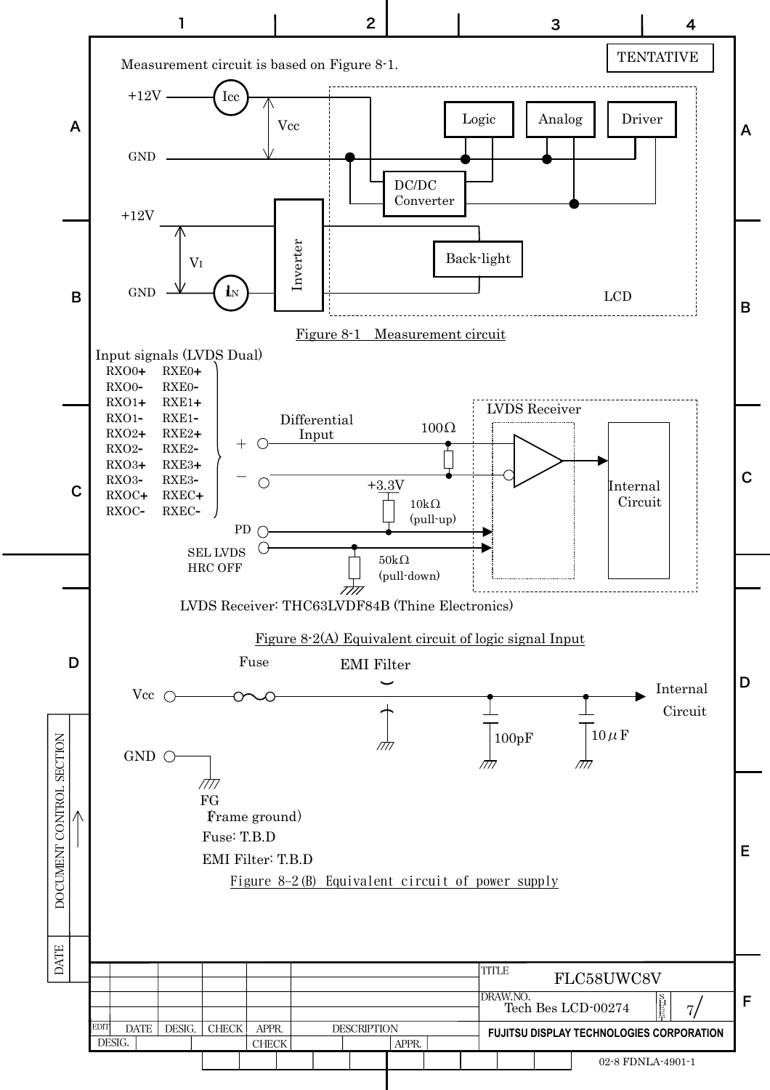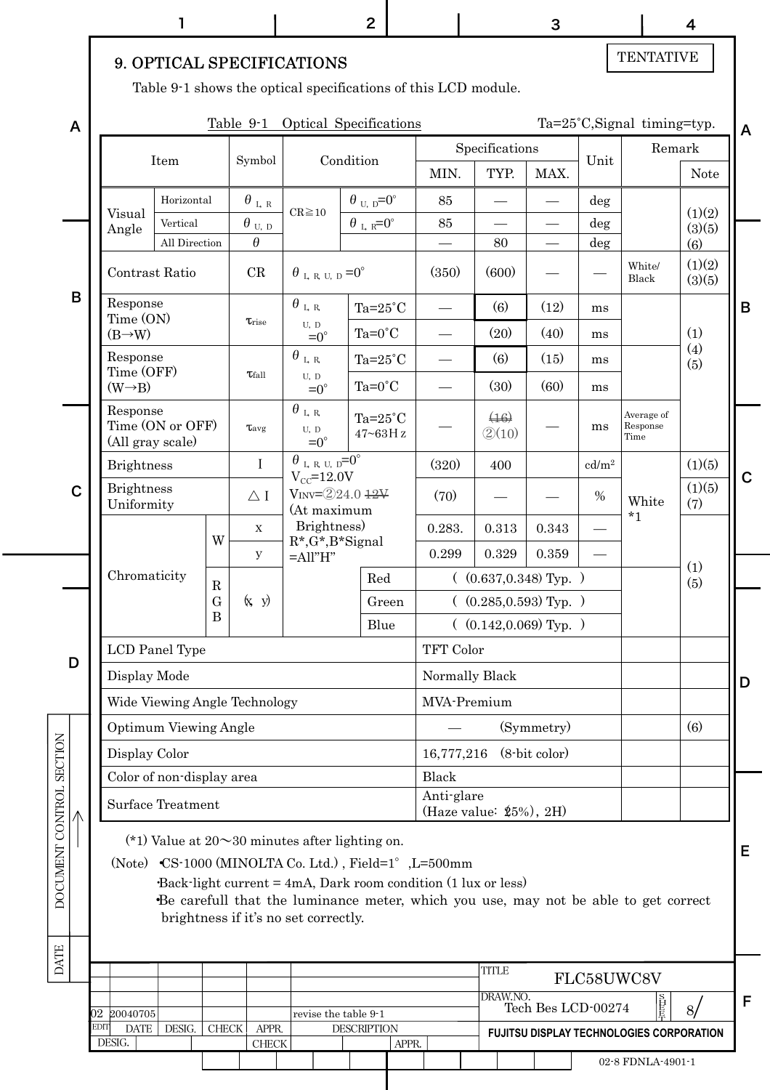|                          |             |      |                                 |                              |                            |                                |                                                                                               | $\overline{2}$     |                                                        |                                                                                                                                                                                                                           |                                                      | 3                        |                   |                                          | $\overline{4}$ |   |
|--------------------------|-------------|------|---------------------------------|------------------------------|----------------------------|--------------------------------|-----------------------------------------------------------------------------------------------|--------------------|--------------------------------------------------------|---------------------------------------------------------------------------------------------------------------------------------------------------------------------------------------------------------------------------|------------------------------------------------------|--------------------------|-------------------|------------------------------------------|----------------|---|
|                          |             |      |                                 |                              |                            |                                | 9. OPTICAL SPECIFICATIONS                                                                     |                    |                                                        |                                                                                                                                                                                                                           |                                                      |                          |                   | <b>TENTATIVE</b>                         |                |   |
|                          |             |      |                                 |                              |                            |                                |                                                                                               |                    |                                                        | Table 9-1 shows the optical specifications of this LCD module.                                                                                                                                                            |                                                      |                          |                   |                                          |                |   |
|                          |             |      |                                 |                              |                            |                                | Table 9-1 Optical Specifications                                                              |                    |                                                        |                                                                                                                                                                                                                           |                                                      |                          |                   | Ta=25°C, Signal timing=typ.              |                |   |
|                          | A           |      |                                 |                              |                            |                                |                                                                                               |                    |                                                        |                                                                                                                                                                                                                           | Specifications                                       |                          |                   |                                          | Remark         | A |
|                          |             |      |                                 | Item                         |                            | Symbol                         |                                                                                               | Condition          |                                                        | MIN.                                                                                                                                                                                                                      | TYP.                                                 | MAX.                     | Unit              |                                          | <b>Note</b>    |   |
|                          |             |      | Visual                          | Horizontal                   |                            | $\theta$ l, r                  | $CR \ge 10$                                                                                   |                    | $\theta$ <sub>U, D</sub> =0°                           | 85                                                                                                                                                                                                                        |                                                      |                          | deg               |                                          | (1)(2)         |   |
|                          |             |      | Angle                           | Vertical                     |                            | $\theta$ $_{\text{U, D}}$<br>θ |                                                                                               |                    | $\theta$ <sub>L</sub> <sub>R</sub> = $0^{\circ}$       | 85                                                                                                                                                                                                                        |                                                      | $\overline{\phantom{0}}$ | deg               |                                          | (3)(5)         |   |
|                          |             |      |                                 | All Direction                |                            |                                |                                                                                               |                    |                                                        |                                                                                                                                                                                                                           | 80                                                   |                          | deg               | White/                                   | (6)<br>(1)(2)  |   |
|                          | B           |      | Contrast Ratio                  |                              |                            | CR                             | $\theta$ L R U, D = $0^{\circ}$                                                               |                    |                                                        | (350)                                                                                                                                                                                                                     | (600)                                                |                          |                   | Black                                    | (3)(5)         |   |
|                          |             |      | Response<br>Time (ON)           |                              |                            | <b><i>Trise</i></b>            | $\theta$ l, r,<br>U, D                                                                        |                    | Ta= $25^{\circ}$ C                                     |                                                                                                                                                                                                                           | (6)                                                  | (12)                     | ms                |                                          |                | B |
|                          |             |      | $(B\rightarrow W)$              |                              |                            |                                | $=0^{\circ}$                                                                                  |                    | $Ta=0^{\circ}C$                                        |                                                                                                                                                                                                                           | (20)                                                 | (40)                     | ms                |                                          | (1)<br>(4)     |   |
|                          |             |      | Response<br>Time (OFF)          |                              |                            | $\tau_{fall}$                  | $\theta$ l, r,<br>U, D                                                                        |                    | $Ta=25^{\circ}C$                                       |                                                                                                                                                                                                                           | (6)                                                  | (15)                     | ms                |                                          | (5)            |   |
|                          |             |      | $(W \rightarrow B)$             |                              |                            |                                | $=0^{\circ}$                                                                                  |                    | $Ta=0^{\circ}C$                                        |                                                                                                                                                                                                                           | (30)                                                 | (60)                     | ms                |                                          |                |   |
|                          |             |      | Response<br>(All gray scale)    | Time (ON or OFF)             |                            | $\tau_{\rm avg}$               | $\theta$ i, r,<br>U, D<br>$=0^{\circ}$                                                        |                    | Ta= $25^{\circ}$ C<br>$47 \mbox{--} 63\,\mathrm{H\,z}$ |                                                                                                                                                                                                                           | (16)<br>$\textcircled{2}(10)$                        |                          | ms                | Average of<br>Response<br>Time           |                |   |
|                          |             |      | <b>Brightness</b>               |                              |                            | $\mathbf I$                    | $\theta$ <sub>L</sub> R <sub>U</sub> , $p=0^\circ$<br>$V_{\text{CC}}=12.0V$                   |                    |                                                        | (320)                                                                                                                                                                                                                     | 400                                                  |                          | cd/m <sup>2</sup> |                                          | (1)(5)         | C |
|                          | $\mathbf C$ |      | <b>Brightness</b><br>Uniformity |                              |                            | $\triangle$ I                  | $V_{INV} = 224.012V$<br>(At maximum                                                           |                    |                                                        | (70)                                                                                                                                                                                                                      |                                                      |                          | $\%$              | White<br>$*_{1}$                         | (1)(5)<br>(7)  |   |
|                          |             |      |                                 |                              | W                          | $\mathbf X$                    | Brightness)<br>$R^*, G^*, B^*$ Signal                                                         |                    |                                                        | 0.283.                                                                                                                                                                                                                    | $\rm 0.313$                                          | 0.343                    |                   |                                          |                |   |
|                          |             |      | Chromaticity                    |                              |                            | У                              | $=$ All" $H$ "                                                                                |                    |                                                        | 0.299                                                                                                                                                                                                                     | 0.329                                                | 0.359                    |                   |                                          | (1)            |   |
|                          |             |      |                                 |                              | $\mathbf R$<br>$\mathbf G$ | (x, y)                         |                                                                                               |                    | Red<br>Green                                           |                                                                                                                                                                                                                           | $($ (0.637,0.348) Typ. )<br>$($ (0.285,0.593) Typ. ) |                          |                   |                                          | (5)            |   |
|                          |             |      |                                 |                              | B                          |                                |                                                                                               |                    | Blue                                                   |                                                                                                                                                                                                                           | $($ (0.142,0.069) Typ. )                             |                          |                   |                                          |                |   |
|                          |             |      |                                 | LCD Panel Type               |                            |                                |                                                                                               |                    |                                                        | TFT Color                                                                                                                                                                                                                 |                                                      |                          |                   |                                          |                |   |
| D                        |             |      | Display Mode                    |                              |                            |                                |                                                                                               |                    |                                                        |                                                                                                                                                                                                                           | Normally Black                                       |                          |                   |                                          |                | D |
|                          |             |      |                                 |                              |                            | Wide Viewing Angle Technology  |                                                                                               |                    |                                                        | MVA-Premium                                                                                                                                                                                                               |                                                      |                          |                   |                                          |                |   |
|                          |             |      |                                 | <b>Optimum Viewing Angle</b> |                            |                                |                                                                                               |                    |                                                        |                                                                                                                                                                                                                           |                                                      | (Symmetry)               |                   |                                          | (6)            |   |
|                          |             |      | Display Color                   |                              |                            |                                |                                                                                               |                    |                                                        | 16,777,216                                                                                                                                                                                                                |                                                      | $(8-bit color)$          |                   |                                          |                |   |
|                          |             |      |                                 | Color of non-display area    |                            |                                |                                                                                               |                    |                                                        | <b>Black</b><br>Anti-glare                                                                                                                                                                                                |                                                      |                          |                   |                                          |                |   |
|                          |             |      |                                 | Surface Treatment            |                            |                                |                                                                                               |                    |                                                        |                                                                                                                                                                                                                           | (Haze value: $$5\%$ ), 2H)                           |                          |                   |                                          |                |   |
| DOCUMENT CONTROL SECTION |             |      |                                 |                              |                            |                                | (*1) Value at $20 \sim 30$ minutes after lighting on.<br>brightness if it's no set correctly. |                    |                                                        | (Note) CS-1000 (MINOLTA Co. Ltd.), Field=1°, L=500mm<br>Back-light current $= 4mA$ , Dark room condition $(1 \text{ lux or less})$<br>Be carefull that the luminance meter, which you use, may not be able to get correct |                                                      |                          |                   |                                          |                | Е |
| <b>DATE</b>              |             |      |                                 |                              |                            |                                |                                                                                               |                    |                                                        |                                                                                                                                                                                                                           |                                                      |                          |                   |                                          |                |   |
|                          |             |      |                                 |                              |                            |                                |                                                                                               |                    |                                                        |                                                                                                                                                                                                                           | <b>TITLE</b>                                         |                          |                   | FLC58UWC8V                               |                |   |
|                          |             | )2   | 20040705                        |                              |                            |                                | revise the table 9-1                                                                          |                    |                                                        |                                                                                                                                                                                                                           | DRAW.NO.                                             | Tech Bes LCD-00274       |                   | 甘豆                                       | 8/             | F |
|                          |             | EDIT | <b>DATE</b><br>DESIG.           | DESIG.                       | <b>CHECK</b>               | APPR.<br>${\rm CHECK}$         |                                                                                               | <b>DESCRIPTION</b> |                                                        |                                                                                                                                                                                                                           |                                                      |                          |                   | FUJITSU DISPLAY TECHNOLOGIES CORPORATION |                |   |
|                          |             |      |                                 |                              |                            |                                |                                                                                               |                    | APPR.                                                  |                                                                                                                                                                                                                           |                                                      |                          |                   | 02-8 FDNLA-4901-1                        |                |   |
|                          |             |      |                                 |                              |                            |                                |                                                                                               |                    |                                                        |                                                                                                                                                                                                                           |                                                      |                          |                   |                                          |                |   |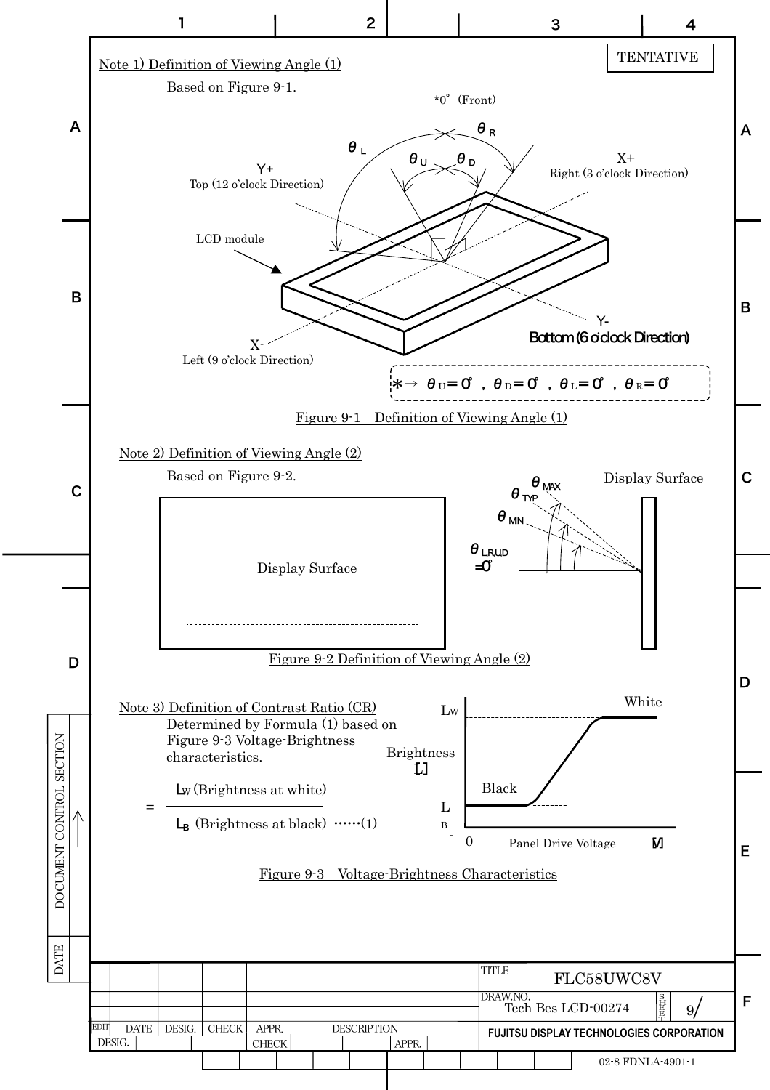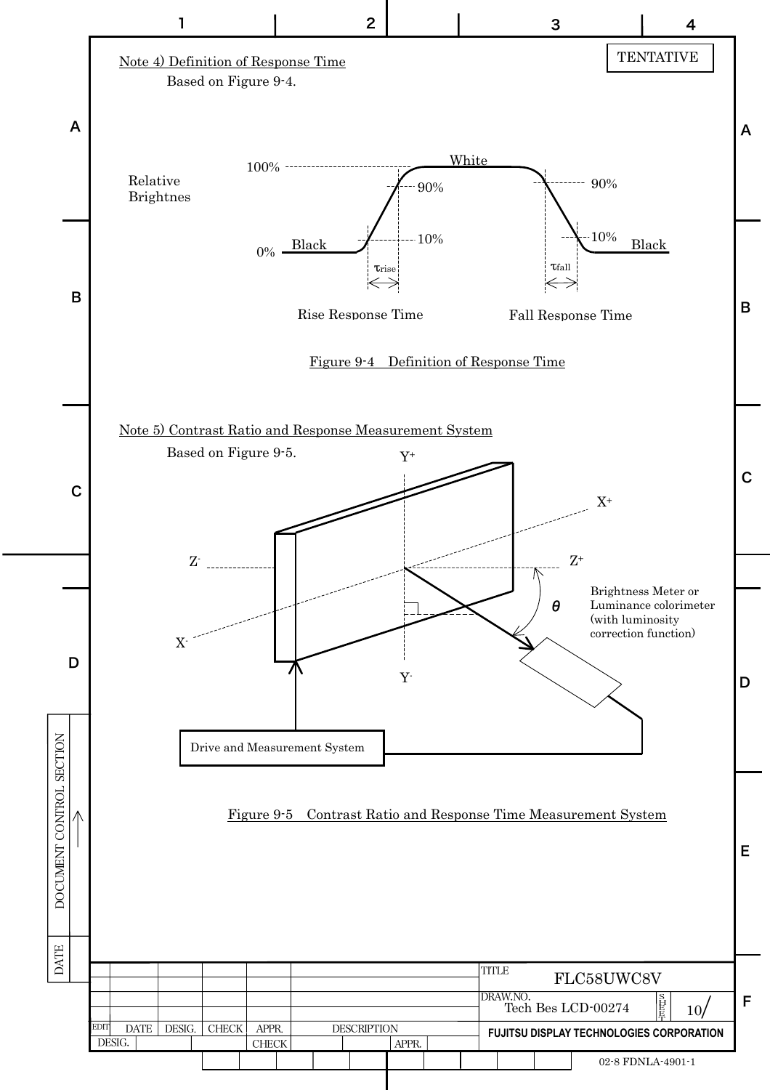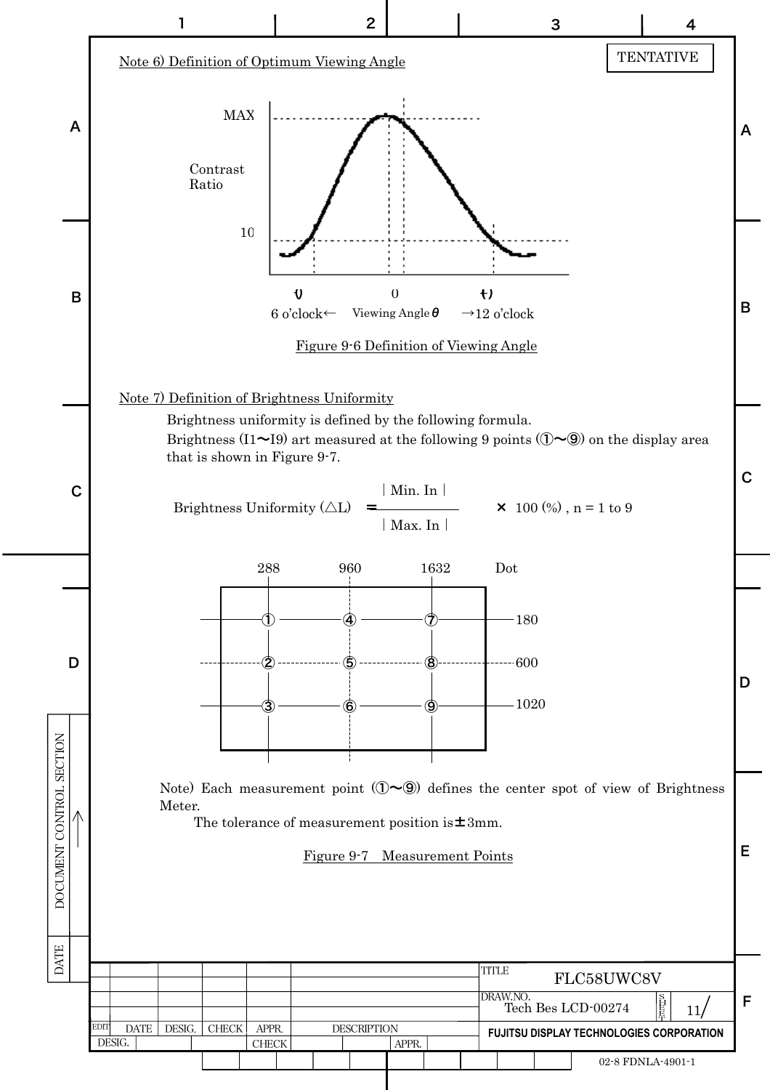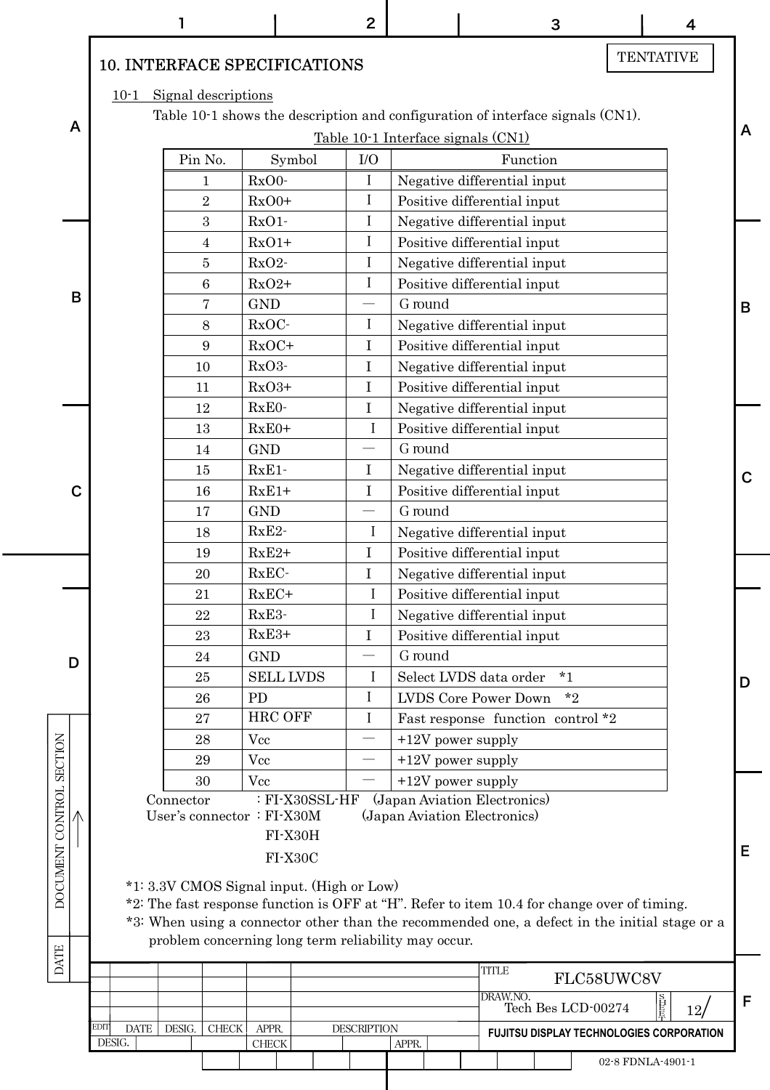|                          |   |                                     |           |                     |               |                                                                                                                 | $\overline{2}$     |         |                     |                                                              | 3       |                                                                                               |                   |    | 4               |             |
|--------------------------|---|-------------------------------------|-----------|---------------------|---------------|-----------------------------------------------------------------------------------------------------------------|--------------------|---------|---------------------|--------------------------------------------------------------|---------|-----------------------------------------------------------------------------------------------|-------------------|----|-----------------|-------------|
|                          |   | <b>10. INTERFACE SPECIFICATIONS</b> |           |                     |               |                                                                                                                 |                    |         |                     |                                                              |         |                                                                                               | <b>TENTATIVE</b>  |    |                 |             |
|                          | A | $10-1$ Signal descriptions          |           |                     |               |                                                                                                                 |                    |         |                     | Table 10-1 Interface signals (CN1)                           |         | Table 10-1 shows the description and configuration of interface signals (CN1).                |                   |    |                 | A           |
|                          |   |                                     |           | Pin No.             |               | Symbol                                                                                                          | I/O                |         |                     | Function                                                     |         |                                                                                               |                   |    |                 |             |
|                          |   |                                     |           |                     | RxO0-         |                                                                                                                 | $\mathbf{I}$       |         |                     | Negative differential input                                  |         |                                                                                               |                   |    |                 |             |
|                          |   |                                     |           | 1<br>$\overline{2}$ | $RxO0+$       |                                                                                                                 | $\bf{I}$           |         |                     | Positive differential input                                  |         |                                                                                               |                   |    |                 |             |
|                          |   |                                     |           | 3                   | $RxO1-$       |                                                                                                                 | $\bf{I}$           |         |                     | Negative differential input                                  |         |                                                                                               |                   |    |                 |             |
|                          |   |                                     |           | 4                   | $RxO1+$       |                                                                                                                 | $\bf{I}$           |         |                     | Positive differential input                                  |         |                                                                                               |                   |    |                 |             |
|                          |   |                                     |           | 5                   | RxO2-         |                                                                                                                 | I                  |         |                     | Negative differential input                                  |         |                                                                                               |                   |    |                 |             |
|                          |   |                                     |           | $\,6\,$             | $RxO2+$       |                                                                                                                 | I                  |         |                     | Positive differential input                                  |         |                                                                                               |                   |    |                 |             |
|                          | B |                                     |           | 7                   | <b>GND</b>    |                                                                                                                 |                    | G round |                     |                                                              |         |                                                                                               |                   |    |                 |             |
|                          |   |                                     |           | $8\,$               | RxOC-         |                                                                                                                 | I                  |         |                     | Negative differential input                                  |         |                                                                                               |                   |    |                 | B           |
|                          |   |                                     |           | 9                   | $RxOC+$       |                                                                                                                 | $\bf{I}$           |         |                     | Positive differential input                                  |         |                                                                                               |                   |    |                 |             |
|                          |   |                                     |           | 10                  | RxO3-         |                                                                                                                 | $\mathbf I$        |         |                     | Negative differential input                                  |         |                                                                                               |                   |    |                 |             |
|                          |   |                                     |           | 11                  | $RxO3+$       |                                                                                                                 | $\mathbf I$        |         |                     | Positive differential input                                  |         |                                                                                               |                   |    |                 |             |
|                          |   |                                     |           | 12                  | RxE0-         |                                                                                                                 | $\bf{I}$           |         |                     | Negative differential input                                  |         |                                                                                               |                   |    |                 |             |
|                          |   |                                     |           | 13                  | $RxE0+$       |                                                                                                                 | $\bf I$            |         |                     | Positive differential input                                  |         |                                                                                               |                   |    |                 |             |
|                          |   |                                     |           | 14                  | <b>GND</b>    |                                                                                                                 |                    | G round |                     |                                                              |         |                                                                                               |                   |    |                 |             |
|                          |   |                                     |           | 15                  | $RxE1 -$      |                                                                                                                 | $\bf{I}$           |         |                     | Negative differential input                                  |         |                                                                                               |                   |    |                 |             |
|                          | С |                                     |           | 16                  | $RxE1+$       |                                                                                                                 | $\mathbf I$        |         |                     | Positive differential input                                  |         |                                                                                               |                   |    |                 | $\mathbf C$ |
|                          |   |                                     |           | 17                  | <b>GND</b>    |                                                                                                                 |                    | G round |                     |                                                              |         |                                                                                               |                   |    |                 |             |
|                          |   |                                     |           | 18                  | $RxE2 -$      |                                                                                                                 | I                  |         |                     | Negative differential input                                  |         |                                                                                               |                   |    |                 |             |
|                          |   |                                     |           | 19                  | $RxE2+$       |                                                                                                                 | $\mathbf I$        |         |                     | Positive differential input                                  |         |                                                                                               |                   |    |                 |             |
|                          |   |                                     |           | 20                  | RxEC-         |                                                                                                                 | $\bf I$            |         |                     | Negative differential input                                  |         |                                                                                               |                   |    |                 |             |
|                          |   |                                     |           | 21                  | RxEC+         |                                                                                                                 | I                  |         |                     | Positive differential input                                  |         |                                                                                               |                   |    |                 |             |
|                          |   |                                     |           | 22                  | RxE3-         |                                                                                                                 | I                  |         |                     | Negative differential input                                  |         |                                                                                               |                   |    |                 |             |
|                          |   |                                     |           | 23                  | $RxE3+$       |                                                                                                                 | $\mathbf I$        |         |                     | Positive differential input                                  |         |                                                                                               |                   |    |                 |             |
|                          |   |                                     |           | 24                  | <b>GND</b>    |                                                                                                                 | $\qquad \qquad$    | G round |                     |                                                              |         |                                                                                               |                   |    |                 |             |
|                          | D |                                     |           | 25                  |               | <b>SELL LVDS</b>                                                                                                | I                  |         |                     | Select LVDS data order                                       | $*_{1}$ |                                                                                               |                   |    |                 | D           |
|                          |   |                                     |           | 26                  | PD            |                                                                                                                 | $\bf{I}$           |         |                     | <b>LVDS</b> Core Power Down                                  |         | $*_{2}$                                                                                       |                   |    |                 |             |
|                          |   |                                     |           | 27                  |               | <b>HRC OFF</b>                                                                                                  | $\bf{I}$           |         |                     |                                                              |         | Fast response function control *2                                                             |                   |    |                 |             |
|                          |   |                                     |           | 28                  | Vcc           |                                                                                                                 |                    |         | $+12V$ power supply |                                                              |         |                                                                                               |                   |    |                 |             |
|                          |   |                                     |           | 29                  | Vcc           |                                                                                                                 |                    |         | $+12V$ power supply |                                                              |         |                                                                                               |                   |    |                 |             |
|                          |   |                                     |           | 30                  | Vcc           |                                                                                                                 |                    |         | $+12V$ power supply |                                                              |         |                                                                                               |                   |    |                 |             |
| DOCUMENT CONTROL SECTION |   |                                     | Connector |                     |               | : FI-X30SSL-HF<br>User's connector : FI-X30M<br>FI-X30H<br>FI-X30C<br>*1: 3.3V CMOS Signal input. (High or Low) |                    |         |                     | (Japan Aviation Electronics)<br>(Japan Aviation Electronics) |         | *2: The fast response function is OFF at "H". Refer to item 10.4 for change over of timing.   |                   |    |                 | E           |
|                          |   |                                     |           |                     |               |                                                                                                                 |                    |         |                     |                                                              |         | *3: When using a connector other than the recommended one, a defect in the initial stage or a |                   |    |                 |             |
|                          |   |                                     |           |                     |               | problem concerning long term reliability may occur.                                                             |                    |         |                     |                                                              |         |                                                                                               |                   |    |                 |             |
| <b>DATE</b>              |   |                                     |           |                     |               |                                                                                                                 |                    |         |                     | <b>TITLE</b>                                                 |         |                                                                                               |                   |    |                 |             |
|                          |   |                                     |           |                     |               |                                                                                                                 |                    |         |                     |                                                              |         | FLC58UWC8V                                                                                    |                   |    |                 |             |
|                          |   |                                     |           |                     |               |                                                                                                                 |                    |         |                     | DRAW.NO.                                                     |         | Tech Bes LCD-00274                                                                            |                   | 自目 | 12 <sub>l</sub> | F           |
|                          |   | EDIT<br><b>DATE</b>                 | DESIG.    | <b>CHECK</b>        | APPR.         |                                                                                                                 | <b>DESCRIPTION</b> |         |                     |                                                              |         | FUJITSU DISPLAY TECHNOLOGIES CORPORATION                                                      |                   |    |                 |             |
|                          |   | DESIG.                              |           |                     | ${\rm CHECK}$ |                                                                                                                 |                    | APPR.   |                     |                                                              |         |                                                                                               |                   |    |                 |             |
|                          |   |                                     |           |                     |               |                                                                                                                 |                    |         |                     |                                                              |         |                                                                                               | 02-8 FDNLA-4901-1 |    |                 |             |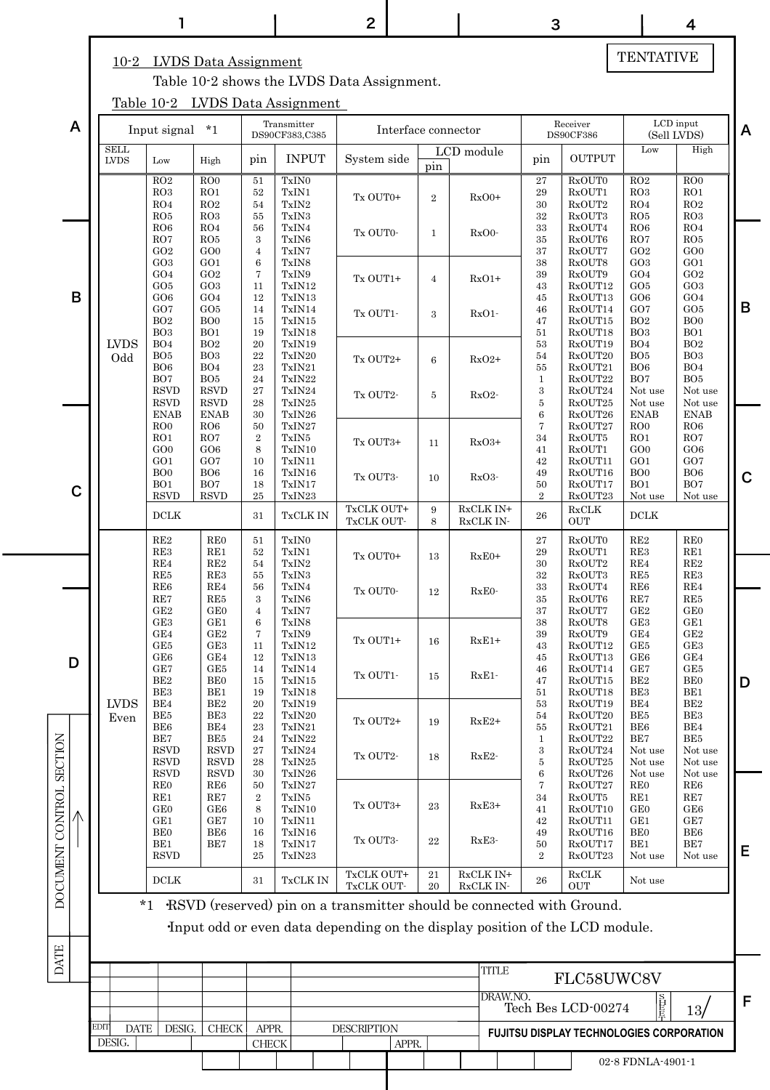## TENTATIVE

#### 10-2 LVDS Data Assignment

Table 10-2 shows the LVDS Data Assignment.

Table 10-2 LVDS Data Assignment

|                          |      | <u>10010</u>               | $\sim$                                                       | $\mathbf{u} \cdot \mathbf{v} \cdot \mathbf{v}$ was       |                                                   | <i>L</i> TOOL CLILING                            |                          |       |                |                     |                        |                                                      |                                                                                                                                                      |                                                             |                                                                                    |   |
|--------------------------|------|----------------------------|--------------------------------------------------------------|----------------------------------------------------------|---------------------------------------------------|--------------------------------------------------|--------------------------|-------|----------------|---------------------|------------------------|------------------------------------------------------|------------------------------------------------------------------------------------------------------------------------------------------------------|-------------------------------------------------------------|------------------------------------------------------------------------------------|---|
| A                        |      |                            | Input signal *1                                              |                                                          |                                                   | Transmitter<br>DS90CF383,C385                    |                          |       |                | Interface connector |                        |                                                      | Receiver<br><b>DS90CF386</b>                                                                                                                         | $\operatorname{LCD}$ input<br>(Sell LVDS)                   |                                                                                    | A |
|                          |      | <b>SELL</b><br><b>LVDS</b> | Low                                                          | High                                                     | pin                                               | <b>INPUT</b>                                     | System side              |       | pin            | LCD module          |                        | pin                                                  | <b>OUTPUT</b>                                                                                                                                        | Low                                                         | High                                                                               |   |
|                          |      |                            | RO2<br>RO3<br>RO4<br>RO <sub>5</sub>                         | ROO<br>RO1<br>RO2<br>RO3                                 | 51<br>$52\,$<br>$54\,$<br>55                      | TxIN0<br>TxIN1<br>TxIN2<br>${\rm TxIN3}$         | Tx OUT0+                 |       | $\overline{2}$ |                     | $RxO0+$                | 27<br>$\bf 29$<br>$30\,$<br>$32\,$                   | RxOUT0<br>RxOUT1<br>RxOUT2<br>RxOUT3                                                                                                                 | RO2<br>RO3<br>RO4<br>RO5                                    | ROO<br>${\rm RO1}$<br>RO2<br>RO3                                                   |   |
|                          |      |                            | RO6<br>RO7<br>GO2<br>GO3                                     | RO4<br>RO5<br>GO <sub>0</sub><br>GO1                     | 56<br>$\boldsymbol{3}$<br>$\overline{4}$<br>$\,6$ | TxIN4<br>TxIN6<br>TxIN7<br>TxIN8                 | Tx OUT0-                 |       | $\mathbf{1}$   |                     | RxO0-                  | $33\,$<br>$35\,$<br>37<br>$38\,$                     | RxOUT4<br>RxOUT6<br>RxOUT7<br>RxOUT8                                                                                                                 | RO6<br>RO7<br>GO2<br>GO3                                    | RO4<br>RO5<br>GOO<br>GO1                                                           |   |
| $\sf B$                  |      |                            | GO4<br>GO5<br>GO <sub>6</sub><br>GO7                         | GO2<br>GO <sub>3</sub><br>GO <sub>4</sub><br>GO5         | 7<br>11<br>12<br>14                               | TxIN9<br>TxIN12<br>TxIN13<br>TxIN14              | Tx OUT1+                 |       | $\overline{4}$ |                     | $RxO1+$                | $39\,$<br>$43\,$<br>$45\,$<br>$\bf 46$               | RxOUT9<br>RxOUT12<br>RxOUT13<br>RxOUT14                                                                                                              | GO4<br>GO5<br>GO6<br>GO7                                    | GO2<br>GO3<br>GO4<br>GO5                                                           | B |
|                          |      | <b>LVDS</b>                | BO <sub>2</sub><br>BO <sub>3</sub><br>BO <sub>4</sub>        | BO <sub>0</sub><br>BO1<br>BO <sub>2</sub>                | 15<br>19<br>$20\,$                                | TxIN15<br>TxIN18<br>TxIN19                       | Tx OUT1-                 |       | 3              |                     | $RxO1-$                | 47<br>51<br>$53\,$                                   | RxOUT15<br>RxOUT18<br>RxOUT19                                                                                                                        | BO <sub>2</sub><br>BO <sub>3</sub><br>BO <sub>4</sub>       | B <sub>O</sub><br>$\rm BO1$<br>BO2                                                 |   |
|                          |      | Odd                        | BO <sub>5</sub><br>BO <sub>6</sub><br>BO7<br><b>RSVD</b>     | BO <sub>3</sub><br>BO4<br>BO <sub>5</sub><br><b>RSVD</b> | 22<br>23<br>24<br>27                              | TxIN20<br>TxIN21<br>TxIN22<br>TxIN24             | Tx OUT2+<br>Tx OUT2-     |       | 6<br>5         |                     | $RxO2+$<br>RxO2-       | $54\,$<br>$55\,$<br>$\mathbf{1}$<br>$\boldsymbol{3}$ | RxOUT20<br>RxOUT21<br>RxOUT22<br>RxOUT24                                                                                                             | BO <sub>5</sub><br>BO <sub>6</sub><br>BO7<br>Not use        | BO <sub>3</sub><br>BO4<br>$\rm BO5$<br>Not use                                     |   |
|                          |      |                            | <b>RSVD</b><br><b>ENAB</b><br>ROO<br>RO1                     | <b>RSVD</b><br><b>ENAB</b><br>RO6<br>RO7                 | 28<br>30<br>$50\,$<br>$\,2$                       | TxIN25<br>TxIN26<br>TxIN27<br>TxIN5              |                          |       |                |                     |                        | $\bf 5$<br>$\,6$<br>7<br>34                          | RxOUT25<br>RxOUT26<br>RxOUT27<br>RxOUT5                                                                                                              | Not use<br><b>ENAB</b><br>ROO<br>RO1                        | Not use<br><b>ENAB</b><br>RO6<br>$\rm RO7$                                         |   |
|                          |      |                            | GO <sub>0</sub><br>GO1<br>B <sub>O</sub><br>B <sub>O1</sub>  | GO <sub>6</sub><br>GO7<br>BO <sub>6</sub><br>BO7         | 8<br>10<br>16<br>18                               | TxIN10<br>TxIN11<br>TxIN16<br>TxIN17             | Tx OUT3+<br>Tx OUT3-     |       | 11<br>10       |                     | $RxO3+$<br>$RxO3-$     | 41<br>42<br>49<br>50                                 | RxOUT1<br>RxOUT11<br>RxOUT16<br>RxOUT17                                                                                                              | GOO<br>GO1<br>BO <sub>0</sub><br>B <sub>O1</sub>            | GO <sub>6</sub><br>GO7<br>BO6<br>BO7                                               | C |
| $\mathbf C$              |      |                            | <b>RSVD</b><br>$\operatorname{DCLK}$                         | <b>RSVD</b>                                              | $25\,$<br>31                                      | TxIN23<br>TxCLK IN                               | TxCLK OUT+<br>TxCLK OUT- |       | 9<br>8         |                     | RxCLK IN+<br>RxCLK IN- | $\overline{2}$<br>26                                 | RxOUT23<br>$\operatorname{RxCLK}$<br>OUT                                                                                                             | Not use<br><b>DCLK</b>                                      | Not use                                                                            |   |
|                          |      |                            | RE2<br>RE3<br>$\operatorname{RE4}$<br>RE5                    | RE0<br>RE1<br>RE2<br>RE3                                 | 51<br>$52\,$<br>54<br>55                          | ${\rm TxIN0}$<br>TxIN1<br>${\rm TxIN2}$<br>TxIN3 | Tx OUT0+                 |       | 13             |                     | $RxE0+$                | $\sqrt{27}$<br>$\rm 29$<br>$30\,$<br>$32\,$          | RxOUT0<br>RxOUT1<br>RxOUT2<br>RxOUT3                                                                                                                 | RE2<br>RE3<br>RE4<br>RE5                                    | $\rm REO$<br>$\operatorname{RE1}$<br>$\rm RE2$<br>$\mathbf{RE3}$                   |   |
|                          |      |                            | RE6<br>$\operatorname{RE}7$<br>$\rm{GE}2$<br>GE <sub>3</sub> | RE4<br>RE5<br><b>GEO</b><br>GE1                          | 56<br>$\boldsymbol{3}$<br>$\overline{4}$<br>$\,6$ | TxIN4<br>TxIN6<br>TxIN7<br>TxIN8                 | Tx OUT0-                 |       | 12             |                     | RxE0-                  | $33\,$<br>$35\,$<br>37<br>$38\,$                     | RxOUT4<br>RxOUT6<br>RxOUT7<br>RxOUT8                                                                                                                 | RE6<br>RE7<br>GE2<br>GE <sub>3</sub>                        | $\operatorname{RE4}$<br>$\operatorname{RE5}$<br>$\rm{GE}0$<br>$\operatorname{GE1}$ |   |
| D                        |      |                            | GE4<br>GE5<br>GE6                                            | GE2<br>GE <sub>3</sub><br>GE4                            | 7<br>11<br>12                                     | TxIN9<br>TxIN12<br>TxIN13                        | Tx OUT1+                 |       | 16             |                     | $RxE1+$                | $39\,$<br>43<br>45                                   | RxOUT9<br>RxOUT12<br>RxOUT13                                                                                                                         | GE4<br>GE5<br>GE6                                           | GE2<br>GE3<br>GE4                                                                  |   |
|                          |      | <b>LVDS</b>                | GE7<br>BE <sub>2</sub><br>BE3<br>BE4                         | GE5<br><b>BEO</b><br>BE1<br>$\rm BE2$                    | 14<br>15<br>19<br>$20\,$                          | TxIN14<br>$\rm TxIN15$<br>TxIN18<br>TxIN19       | Tx OUT1-                 |       | 15             |                     | $RxE1 -$               | 46<br>47<br>51<br>53                                 | RxOUT14<br>RxOUT15<br>RxOUT18<br>RxOUT19                                                                                                             | GE7<br>BE <sub>2</sub><br>BE3<br>BE4                        | GE5<br>$\rm BE0$<br>$\rm BE1$<br>$\rm BE2$                                         | D |
|                          |      | Even                       | BE5<br>BE <sub>6</sub><br>BE7<br><b>RSVD</b>                 | BE3<br>BE4<br>BE5<br><b>RSVD</b>                         | $22\,$<br>23<br>24<br>$\sqrt{27}$                 | TxIN20<br>${\rm TxIN21}$<br>TxIN22<br>TxIN24     | Tx OUT2+                 |       | 19             |                     | $RxE2+$                | $54\,$<br>55<br>1<br>$\,3$                           | RxOUT20<br>RxOUT21<br>RxOUT22<br>RxOUT24                                                                                                             | BE5<br>BE <sub>6</sub><br>BE7<br>Not use                    | BE3<br>$\rm BE4$<br>$\rm BE5$<br>Not use                                           |   |
|                          |      |                            | <b>RSVD</b><br><b>RSVD</b><br><b>REO</b><br>RE1              | <b>RSVD</b><br><b>RSVD</b><br>RE6<br>RE7                 | 28<br>30<br>50<br>$\,2$                           | TxIN25<br>TxIN26<br>TxIN27<br>TxIN5              | Tx OUT2-                 |       | 18             |                     | RxE2-                  | 5<br>$\,6$<br>7<br>34                                | RxOUT25<br>RxOUT26<br>RxOUT27<br>RxOUT5                                                                                                              | Not use<br>Not use<br><b>REO</b><br>RE1                     | Not use<br>Not use<br>RE6<br>$\operatorname{RE}7$                                  |   |
| DOCUMENT CONTROL SECTION |      |                            | <b>GEO</b><br>GE1<br><b>BEO</b><br>BE1<br><b>RSVD</b>        | GE6<br>GE7<br>BE <sub>6</sub><br>BE7                     | 8<br>10<br>16<br>18<br>25                         | TxIN10<br>TxIN11<br>TxIN16<br>TxIN17<br>TxIN23   | Tx OUT3+<br>Tx OUT3-     |       | 23<br>22       |                     | $RxE3+$<br>RxE3-       | 41<br>42<br>49<br>50<br>$\overline{2}$               | RxOUT10<br>RxOUT11<br>RxOUT16<br>RxOUT17<br>RxOUT23                                                                                                  | GE <sub>0</sub><br>GE1<br>BE <sub>0</sub><br>BE1<br>Not use | GE6<br>GE7<br>BE <sub>6</sub><br>$\rm BE7$<br>Not use                              | Е |
|                          |      |                            | <b>DCLK</b>                                                  |                                                          | 31                                                | TxCLK IN                                         | TxCLK OUT+<br>TxCLK OUT- |       | $21\,$<br>20   |                     | RxCLK IN+<br>RxCLK IN- | ${\bf 26}$                                           | RxCLK<br><b>OUT</b>                                                                                                                                  | Not use                                                     |                                                                                    |   |
|                          |      | $*_{1}$                    |                                                              |                                                          |                                                   |                                                  |                          |       |                |                     |                        |                                                      | RSVD (reserved) pin on a transmitter should be connected with Ground.<br>Input odd or even data depending on the display position of the LCD module. |                                                             |                                                                                    |   |
| DATE                     |      |                            |                                                              |                                                          |                                                   |                                                  |                          |       |                |                     | TITLE                  |                                                      |                                                                                                                                                      |                                                             |                                                                                    |   |
|                          |      |                            |                                                              |                                                          |                                                   |                                                  |                          |       |                |                     | DRAW.NO.               |                                                      | FLC58UWC8V<br>Tech Bes LCD-00274                                                                                                                     | SH<br>耳耳                                                    |                                                                                    | F |
|                          | EDIT | <b>DATE</b>                | DESIG.                                                       | <b>CHECK</b>                                             | APPR.                                             |                                                  | <b>DESCRIPTION</b>       |       |                |                     |                        |                                                      | <b>FUJITSU DISPLAY TECHNOLOGIES CORPORATION</b>                                                                                                      |                                                             | 13/                                                                                |   |
|                          |      | DESIG.                     |                                                              |                                                          | ${\rm CHECK}$                                     |                                                  |                          | APPR. |                |                     |                        |                                                      |                                                                                                                                                      | 02-8 FDNLA-4901-1                                           |                                                                                    |   |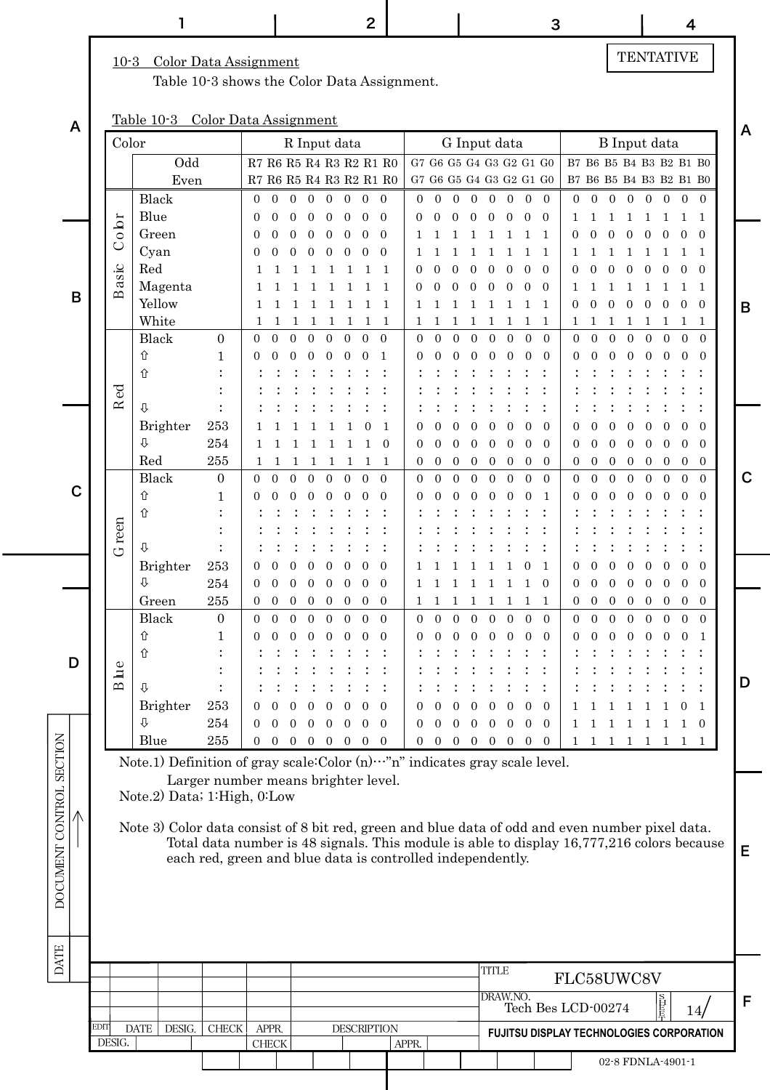DATE DOCUMENT CONTROL SECTION

**DATE** 

DOCUMENT CONTROL SECTION

#### 10-3 Color Data Assignment

Table 10-3 shows the Color Data Assignment.

### Table 10-3 Color Data Assignment

| A           |      | Table 10-3                                               |                                                                                                 | Color Data Assignment                                                                     |                |                  |                                                             |                |                |                |                    |                                                                                                            |                |                |              |              |                |                                 |                    |                |                  |                  |                  |                |                   |                                                    | A           |
|-------------|------|----------------------------------------------------------|-------------------------------------------------------------------------------------------------|-------------------------------------------------------------------------------------------|----------------|------------------|-------------------------------------------------------------|----------------|----------------|----------------|--------------------|------------------------------------------------------------------------------------------------------------|----------------|----------------|--------------|--------------|----------------|---------------------------------|--------------------|----------------|------------------|------------------|------------------|----------------|-------------------|----------------------------------------------------|-------------|
|             |      | Color                                                    |                                                                                                 |                                                                                           |                |                  | R Input data                                                |                |                |                |                    |                                                                                                            |                |                |              | G Input data |                |                                 |                    |                |                  |                  |                  |                | B Input data      |                                                    |             |
|             |      |                                                          | $\rm Odd$<br>Even                                                                               |                                                                                           |                |                  | $R7\ R6\ R5\ R4\ R3\ R2\ R1\ R0$<br>R7 R6 R5 R4 R3 R2 R1 R0 |                |                |                |                    | G7 G6 G5 G4 G3 G2 G1 G0<br>$\rm{G}7$ $\rm{G}6$ $\rm{G}5$ $\rm{G}4$ $\rm{G}3$ $\rm{G}2$ $\rm{G}1$ $\rm{G}0$ |                |                |              |              |                |                                 |                    |                |                  |                  |                  |                |                   | B7 B6 B5 B4 B3 B2 B1 B0<br>B7 B6 B5 B4 B3 B2 B1 B0 |             |
|             |      |                                                          | Black                                                                                           |                                                                                           | $\overline{0}$ | $\mathbf{0}$     | $\overline{0}$<br>$\overline{0}$                            | $\overline{0}$ | $\mathbf{0}$   | $\mathbf{0}$   | $\mathbf{0}$       | $\overline{0}$                                                                                             | $\mathbf{0}$   | $\mathbf{0}$   | $\mathbf{0}$ | $\mathbf{0}$ | $\mathbf{0}$   | $\mathbf{0}$                    | $\mathbf{0}$       | $\overline{0}$ | $\overline{0}$   | $\mathbf{0}$     | $\boldsymbol{0}$ | $\overline{0}$ | $\mathbf{0}$      | $\overline{0}$<br>$\theta$                         |             |
|             |      |                                                          | Blue                                                                                            |                                                                                           | $\Omega$       | 0                | $\Omega$<br>$\Omega$                                        |                |                | 0              | $\theta$           | 0                                                                                                          |                | 0              | $\Omega$     | $\Omega$     | $\Omega$       | $\Omega$                        | $\Omega$           |                | ı                |                  |                  |                |                   | $\mathbf{1}$<br>-1                                 |             |
|             |      | obr                                                      | Green                                                                                           |                                                                                           | $\theta$       |                  | 0<br>0                                                      | 0              |                | 0              | $\overline{0}$     |                                                                                                            |                |                |              |              |                |                                 |                    | 0              | 0                | 0                | $\Omega$         | $\Omega$       | $\Omega$          | $\Omega$<br>$\theta$                               |             |
|             |      | $\cup$                                                   | Cyan                                                                                            |                                                                                           | $\theta$       |                  |                                                             |                |                |                | $\Omega$           |                                                                                                            |                |                |              |              |                |                                 |                    |                |                  |                  |                  |                |                   | 1<br>-1                                            |             |
|             |      | asic                                                     | Red                                                                                             |                                                                                           |                |                  |                                                             |                |                |                | 1                  | 0                                                                                                          |                |                |              |              |                |                                 | $\Omega$           | 0              |                  |                  |                  |                | $\Omega$          | $\Omega$<br>$\Omega$                               |             |
| B           |      | $\mathbf{\Omega}$                                        | Magenta                                                                                         |                                                                                           | 1              |                  |                                                             |                |                |                | 1                  | 0                                                                                                          |                | 0              |              |              |                |                                 | $\Omega$           | 1              | 1                | 1                | 1                | 1              | 1                 | -1<br>-1                                           |             |
|             |      |                                                          | Yellow                                                                                          |                                                                                           | 1              |                  | 1<br>1                                                      | 1              | 1              | 1              | 1                  | 1                                                                                                          |                |                |              |              |                |                                 | $\mathbf{1}$       | $\overline{0}$ | $\overline{0}$   | $\theta$         | $\mathbf{0}$     | $\theta$       | $\overline{0}$    | $\theta$<br>$\overline{0}$                         | B           |
|             |      |                                                          | White                                                                                           |                                                                                           | 1              | 1                | 1<br>1                                                      | 1              | 1              | 1              | -1                 | 1                                                                                                          | 1              |                | 1            | 1            | 1              | 1                               | 1                  | 1              | 1                | $\mathbf{1}$     | $\mathbf{1}$     | 1              | 1                 | 1<br>-1                                            |             |
|             |      |                                                          | Black                                                                                           | $\mathbf{0}$                                                                              | $\Omega$       | $\Omega$         | $\overline{0}$<br>$\theta$                                  | $\Omega$       | $\overline{0}$ | $\overline{0}$ | $\boldsymbol{0}$   | $\overline{0}$                                                                                             | $\Omega$       | $\overline{0}$ | $\Omega$     | $\Omega$     | $\Omega$       | $\overline{0}$                  | $\mathbf{0}$       | $\overline{0}$ | $\overline{0}$   | $\overline{0}$   | $\theta$         | $\theta$       | $\mathbf{0}$      | $\overline{0}$<br>$\Omega$                         |             |
|             |      | 仚<br>⇧                                                   |                                                                                                 | 1                                                                                         | 0              | $\theta$         |                                                             |                |                |                | $\mathbf{1}$       | 0                                                                                                          |                |                |              |              |                |                                 | $\Omega$           | 0              |                  | 0                | 0                | 0              | $\Omega$          | $\Omega$<br>$\Omega$                               |             |
|             |      |                                                          |                                                                                                 |                                                                                           |                |                  |                                                             |                |                |                |                    |                                                                                                            |                |                |              |              |                |                                 |                    |                |                  |                  |                  |                |                   |                                                    |             |
|             |      | Red<br>⇩                                                 |                                                                                                 |                                                                                           |                |                  |                                                             |                |                |                |                    |                                                                                                            |                |                |              |              |                |                                 |                    |                |                  |                  |                  |                |                   |                                                    |             |
|             |      |                                                          | Brighter                                                                                        | 253                                                                                       |                |                  |                                                             |                |                |                | 1                  | 0                                                                                                          |                |                |              |              |                |                                 | $\Omega$           |                |                  |                  |                  |                |                   | $\Omega$<br>0                                      |             |
|             |      | ⇩                                                        |                                                                                                 | $\bf 254$                                                                                 |                |                  |                                                             |                |                |                | $\overline{0}$     | 0                                                                                                          |                | 0              | 0            | 0            | $\Omega$       | 0                               | $\overline{0}$     | 0              | 0                | $\overline{0}$   | $\overline{0}$   | $\theta$       | $\theta$          | $\Omega$<br>$\overline{0}$                         |             |
|             |      |                                                          | Red                                                                                             | 255                                                                                       | 1              | 1                | 1<br>1                                                      | 1              | 1              | 1              | -1                 | $\overline{0}$                                                                                             | $\mathbf 0$    | $\mathbf{0}$   | $\mathbf{0}$ | $\mathbf 0$  | $\mathbf{0}$   | 0                               | $\mathbf{0}$       | $\overline{0}$ | $\boldsymbol{0}$ | $\boldsymbol{0}$ | $\overline{0}$   | $\mathbf{0}$   | $\overline{0}$    | $\overline{0}$<br>$\overline{0}$                   |             |
| $\mathbf C$ |      |                                                          | Black                                                                                           | $\mathbf{0}$                                                                              | $\Omega$       | $\Omega$         | $\overline{0}$<br>$\Omega$                                  | $\Omega$       | $\overline{0}$ | $\Omega$       | $\boldsymbol{0}$   | $\mathbf{0}$                                                                                               | $\theta$       | $\overline{0}$ | $\theta$     | $\theta$     | $\overline{0}$ | $\overline{0}$                  | $\mathbf{0}$       | $\overline{0}$ | $\overline{0}$   | $\overline{0}$   | $\theta$         | $\overline{0}$ | $\mathbf{0}$      | $\overline{0}$<br>$\Omega$                         | $\mathbf C$ |
|             |      | 仚                                                        |                                                                                                 | 1                                                                                         | 0              |                  |                                                             |                |                |                | $\Omega$           | 0                                                                                                          |                |                |              |              |                |                                 | 1                  | 0              |                  |                  |                  |                |                   | $\Omega$                                           |             |
|             |      | ⇧                                                        |                                                                                                 |                                                                                           |                |                  |                                                             |                |                |                |                    |                                                                                                            |                |                |              |              |                |                                 |                    |                |                  |                  |                  |                |                   |                                                    |             |
|             |      | G reen<br>⇩                                              |                                                                                                 |                                                                                           |                |                  |                                                             |                |                |                |                    |                                                                                                            |                |                |              |              |                |                                 |                    |                |                  |                  |                  |                |                   |                                                    |             |
|             |      |                                                          | Brighter                                                                                        | 253                                                                                       | $\overline{0}$ |                  | 0                                                           |                |                |                | $\overline{0}$     |                                                                                                            |                |                |              |              |                |                                 | -1                 | 0              |                  | 0                |                  |                | $\theta$          | $\Omega$<br>0                                      |             |
|             |      | ⇩                                                        |                                                                                                 | $\bf 254$                                                                                 | 0              | $\Omega$         | $\Omega$<br>$\Omega$                                        | 0              | 0              | $\Omega$       | $\mathbf{0}$       | 1                                                                                                          |                |                | 1            | 1            | 1              |                                 | $\Omega$           | 0              | 0                | $\overline{0}$   | $\overline{0}$   | $\overline{0}$ | $\theta$          | $\overline{0}$<br>$\Omega$                         |             |
|             |      |                                                          | Green                                                                                           | $255\,$                                                                                   | $\overline{0}$ | $\boldsymbol{0}$ | $\mathbf{0}$<br>$\theta$                                    | 0              | $\mathbf{0}$   | $\overline{0}$ | $\mathbf{0}$       | $\mathbf 1$                                                                                                | 1              | 1              | 1            | 1            | $\mathbf{1}$   | 1                               | 1                  | $\overline{0}$ | $\mathbf{0}$     | $\mathbf{0}$     | $\overline{0}$   | $\overline{0}$ | $\overline{0}$    | $\overline{0}$<br>$\overline{0}$                   |             |
|             |      |                                                          | Black                                                                                           | $\mathbf{0}$                                                                              | $\theta$       | $\theta$         | $\overline{0}$<br>$\theta$                                  | $\Omega$       | $\overline{0}$ | $\Omega$       | $\overline{0}$     | $\overline{0}$                                                                                             | $\theta$       | $\overline{0}$ | $\Omega$     | $\theta$     | $\overline{0}$ | $\overline{0}$                  | $\overline{0}$     | $\overline{0}$ | $\overline{0}$   | $\theta$         | $\theta$         | $\overline{0}$ | $\overline{0}$    | $\overline{0}$<br>$\theta$                         |             |
|             |      | ⇧                                                        |                                                                                                 | 1                                                                                         | 0              |                  | 0                                                           |                |                |                | $\Omega$           |                                                                                                            |                |                |              |              |                |                                 | $\overline{0}$     |                |                  |                  |                  |                | $\Omega$          | $\Omega$                                           |             |
| D           |      | 仚                                                        |                                                                                                 |                                                                                           |                |                  |                                                             |                |                |                |                    |                                                                                                            |                |                |              |              |                |                                 |                    |                |                  |                  |                  |                |                   |                                                    |             |
|             |      | $u$ e<br>$\mathbf{\underline{\infty}}$<br>$\overline{v}$ |                                                                                                 |                                                                                           |                |                  |                                                             |                |                |                |                    |                                                                                                            |                |                |              |              |                |                                 |                    |                |                  |                  |                  |                |                   |                                                    | D           |
|             |      |                                                          | Brighter                                                                                        | 253                                                                                       | $\overline{0}$ | $\overline{0}$   | $0 \t0 \t0 \t0 \t0 \t0$                                     |                |                |                |                    | $\overline{0}$                                                                                             | $\overline{0}$ | $\overline{0}$ |              |              |                | $0 \t0 \t0 \t0 \t0$             |                    |                |                  |                  |                  |                |                   | 1 1 1 1 1 1 0 1                                    |             |
|             |      | ⇩                                                        |                                                                                                 | 254                                                                                       | $\Omega$       | $\Omega$         | $\Omega$<br>$\Omega$                                        | $\Omega$       | $\Omega$       | $\Omega$       | $\overline{0}$     | $\overline{0}$                                                                                             | $\Omega$       | $\overline{0}$ |              |              |                | $0 \t0 \t0 \t0 \t0$             |                    | $\mathbf{1}$   | 1 1              |                  | $\overline{1}$   | $\overline{1}$ | $\mathbf{1}$      | 1 0                                                |             |
|             |      |                                                          | Blue                                                                                            | 255                                                                                       |                | $0 \quad 0$      | $0 \t0 \t0 \t0 \t0 \t0$                                     |                |                |                |                    |                                                                                                            |                |                |              |              |                | $0 \t0 \t0 \t0 \t0 \t0 \t0 \t0$ |                    |                |                  |                  |                  |                |                   | 1 1 1 1 1 1 1 1                                    |             |
|             |      |                                                          | Note.1) Definition of gray scale:Color (n)  "n" indicates gray scale level.                     |                                                                                           |                |                  |                                                             |                |                |                |                    |                                                                                                            |                |                |              |              |                |                                 |                    |                |                  |                  |                  |                |                   |                                                    |             |
|             |      |                                                          |                                                                                                 | Larger number means brighter level.                                                       |                |                  |                                                             |                |                |                |                    |                                                                                                            |                |                |              |              |                |                                 |                    |                |                  |                  |                  |                |                   |                                                    |             |
|             |      |                                                          | Note.2) Data; 1:High, 0:Low                                                                     |                                                                                           |                |                  |                                                             |                |                |                |                    |                                                                                                            |                |                |              |              |                |                                 |                    |                |                  |                  |                  |                |                   |                                                    |             |
|             |      |                                                          |                                                                                                 |                                                                                           |                |                  |                                                             |                |                |                |                    |                                                                                                            |                |                |              |              |                |                                 |                    |                |                  |                  |                  |                |                   |                                                    |             |
|             |      |                                                          | Note 3) Color data consist of 8 bit red, green and blue data of odd and even number pixel data. | Total data number is 48 signals. This module is able to display 16,777,216 colors because |                |                  |                                                             |                |                |                |                    |                                                                                                            |                |                |              |              |                |                                 |                    |                |                  |                  |                  |                |                   |                                                    |             |
|             |      |                                                          |                                                                                                 | each red, green and blue data is controlled independently.                                |                |                  |                                                             |                |                |                |                    |                                                                                                            |                |                |              |              |                |                                 |                    |                |                  |                  |                  |                |                   |                                                    | Е           |
|             |      |                                                          |                                                                                                 |                                                                                           |                |                  |                                                             |                |                |                |                    |                                                                                                            |                |                |              |              |                |                                 |                    |                |                  |                  |                  |                |                   |                                                    |             |
|             |      |                                                          |                                                                                                 |                                                                                           |                |                  |                                                             |                |                |                |                    |                                                                                                            |                |                |              |              |                |                                 |                    |                |                  |                  |                  |                |                   |                                                    |             |
|             |      |                                                          |                                                                                                 |                                                                                           |                |                  |                                                             |                |                |                |                    |                                                                                                            |                |                |              |              |                |                                 |                    |                |                  |                  |                  |                |                   |                                                    |             |
|             |      |                                                          |                                                                                                 |                                                                                           |                |                  |                                                             |                |                |                |                    |                                                                                                            |                |                |              |              |                |                                 |                    |                |                  |                  |                  |                |                   |                                                    |             |
|             |      |                                                          |                                                                                                 |                                                                                           |                |                  |                                                             |                |                |                |                    |                                                                                                            |                |                |              |              |                |                                 |                    |                |                  |                  |                  |                |                   |                                                    |             |
|             |      |                                                          |                                                                                                 |                                                                                           |                |                  |                                                             |                |                |                |                    |                                                                                                            |                |                |              | <b>TITLE</b> |                |                                 |                    | FLC58UWC8V     |                  |                  |                  |                |                   |                                                    |             |
|             |      |                                                          |                                                                                                 |                                                                                           |                |                  |                                                             |                |                |                |                    |                                                                                                            |                |                |              | DRAW.NO.     |                |                                 |                    |                |                  |                  |                  |                | 昌長                |                                                    | F           |
|             | EDIT | <b>DATE</b>                                              |                                                                                                 |                                                                                           |                | APPR.            |                                                             |                |                |                |                    |                                                                                                            |                |                |              |              |                |                                 | Tech Bes LCD-00274 |                |                  |                  |                  |                |                   | 14 <sub>l</sub>                                    |             |
|             |      | DESIG.                                                   | DESIG.                                                                                          | ${\rm CHECK}$                                                                             |                | ${\rm CHECK}$    |                                                             |                |                |                | <b>DESCRIPTION</b> | APPR.                                                                                                      |                |                |              |              |                |                                 |                    |                |                  |                  |                  |                |                   | FUJITSU DISPLAY TECHNOLOGIES CORPORATION           |             |
|             |      |                                                          |                                                                                                 |                                                                                           |                |                  |                                                             |                |                |                |                    |                                                                                                            |                |                |              |              |                |                                 |                    |                |                  |                  |                  |                | 02-8 FDNLA-4901-1 |                                                    |             |

# TENTATIVE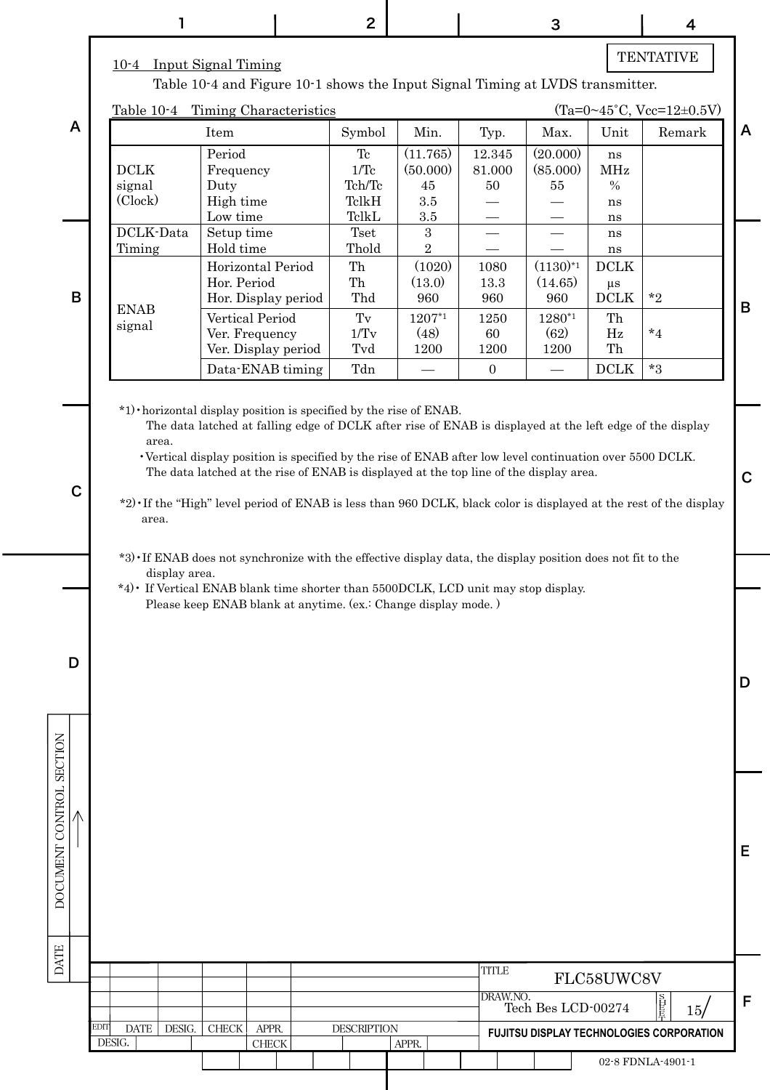|                                    |                                                                                                                                                                                                                           |                                                                               | $\mathbf{2}$          |                      |                  | 3                    |                 | 4                                                                                                                 |
|------------------------------------|---------------------------------------------------------------------------------------------------------------------------------------------------------------------------------------------------------------------------|-------------------------------------------------------------------------------|-----------------------|----------------------|------------------|----------------------|-----------------|-------------------------------------------------------------------------------------------------------------------|
|                                    | 10-4 Input Signal Timing                                                                                                                                                                                                  |                                                                               |                       |                      |                  |                      |                 | <b>TENTATIVE</b>                                                                                                  |
|                                    |                                                                                                                                                                                                                           | Table 10-4 and Figure 10-1 shows the Input Signal Timing at LVDS transmitter. |                       |                      |                  |                      |                 |                                                                                                                   |
| $\overline{A}$                     | Table $10-4$                                                                                                                                                                                                              | Timing Characteristics                                                        |                       |                      |                  |                      |                 | $(Ta=0~45^{\circ}C, Vcc=12~0.5V)$                                                                                 |
|                                    |                                                                                                                                                                                                                           | Item                                                                          | Symbol                | Min.                 | Typ.             | Max.                 | Unit            | Remark                                                                                                            |
|                                    | DCLK                                                                                                                                                                                                                      | Period<br>Frequency                                                           | Tc<br>$1/\mathrm{Tc}$ | (11.765)<br>(50.000) | 12.345<br>81.000 | (20.000)<br>(85.000) | ns<br>MHz       |                                                                                                                   |
|                                    | signal                                                                                                                                                                                                                    | Duty                                                                          | Tch/Tc                | 45                   | 50               | 55                   | $\%$            |                                                                                                                   |
|                                    | (Clock)                                                                                                                                                                                                                   | High time                                                                     | TelkH                 | $3.5\,$              |                  |                      | ns              |                                                                                                                   |
|                                    |                                                                                                                                                                                                                           | Low time                                                                      | TelkL                 | $3.5\,$              |                  |                      | ns              |                                                                                                                   |
|                                    | DCLK-Data<br>Timing                                                                                                                                                                                                       | Setup time<br>Hold time                                                       | Tset<br>Thold         | 3<br>$\overline{2}$  |                  |                      | ns<br>ns        |                                                                                                                   |
|                                    |                                                                                                                                                                                                                           | Horizontal Period                                                             | Th                    | (1020)               | 1080             | $(1130)^{*1}$        | <b>DCLK</b>     |                                                                                                                   |
|                                    |                                                                                                                                                                                                                           | Hor. Period                                                                   | Th                    | (13.0)               | 13.3             | (14.65)              | $\mu\mathrm{s}$ |                                                                                                                   |
| $\mathsf B$                        | <b>ENAB</b>                                                                                                                                                                                                               | Hor. Display period                                                           | Thd                   | 960                  | 960              | 960                  | <b>DCLK</b>     | $*_{2}$                                                                                                           |
|                                    | signal                                                                                                                                                                                                                    | Vertical Period                                                               | $\operatorname{Tv}$   | 1207*1               | 1250             | 1280*1               | Th              |                                                                                                                   |
|                                    |                                                                                                                                                                                                                           | Ver. Frequency<br>Ver. Display period                                         | 1/Tv<br>Tvd           | (48)<br>1200         | 60<br>1200       | (62)<br>1200         | Hz<br>Th        | $*_{4}$                                                                                                           |
|                                    |                                                                                                                                                                                                                           | Data-ENAB timing                                                              | Tdn                   |                      | $\boldsymbol{0}$ |                      | <b>DCLK</b>     | $*3$                                                                                                              |
|                                    |                                                                                                                                                                                                                           |                                                                               |                       |                      |                  |                      |                 |                                                                                                                   |
| $\mathbf C$                        | The data latched at the rise of ENAB is displayed at the top line of the display area.                                                                                                                                    |                                                                               |                       |                      |                  |                      |                 | *2) If the "High" level period of ENAB is less than 960 DCLK, black color is displayed at the rest of the display |
|                                    | area.<br>*3) If ENAB does not synchronize with the effective display data, the display position does not fit to the<br>display area.<br>*4) If Vertical ENAB blank time shorter than 5500DCLK, LCD unit may stop display. | Please keep ENAB blank at anytime. (ex.: Change display mode.)                |                       |                      |                  |                      |                 |                                                                                                                   |
| D                                  |                                                                                                                                                                                                                           |                                                                               |                       |                      |                  |                      |                 |                                                                                                                   |
| <b>SECTION</b><br>DOCUMENT CONTROL |                                                                                                                                                                                                                           |                                                                               |                       |                      |                  |                      |                 |                                                                                                                   |
| <b>DATE</b>                        |                                                                                                                                                                                                                           |                                                                               |                       |                      | <b>TITLE</b>     |                      | FLC58UWC8V      |                                                                                                                   |
|                                    |                                                                                                                                                                                                                           |                                                                               |                       |                      | DRAW.NO.         | Tech Bes LCD-00274   |                 |                                                                                                                   |
|                                    | EDIT<br><b>DATE</b><br>DESIG.                                                                                                                                                                                             | ${\rm CHECK}$<br>APPR.                                                        | <b>DESCRIPTION</b>    |                      |                  |                      |                 | 15/<br>FUJITSU DISPLAY TECHNOLOGIES CORPORATION                                                                   |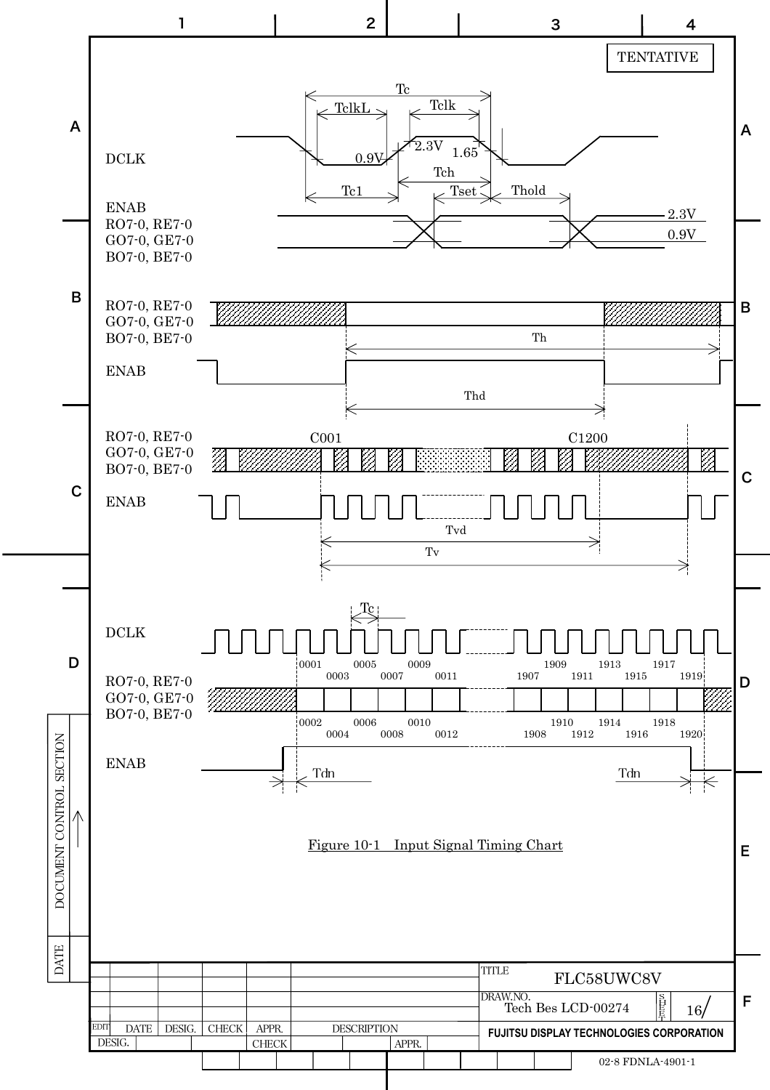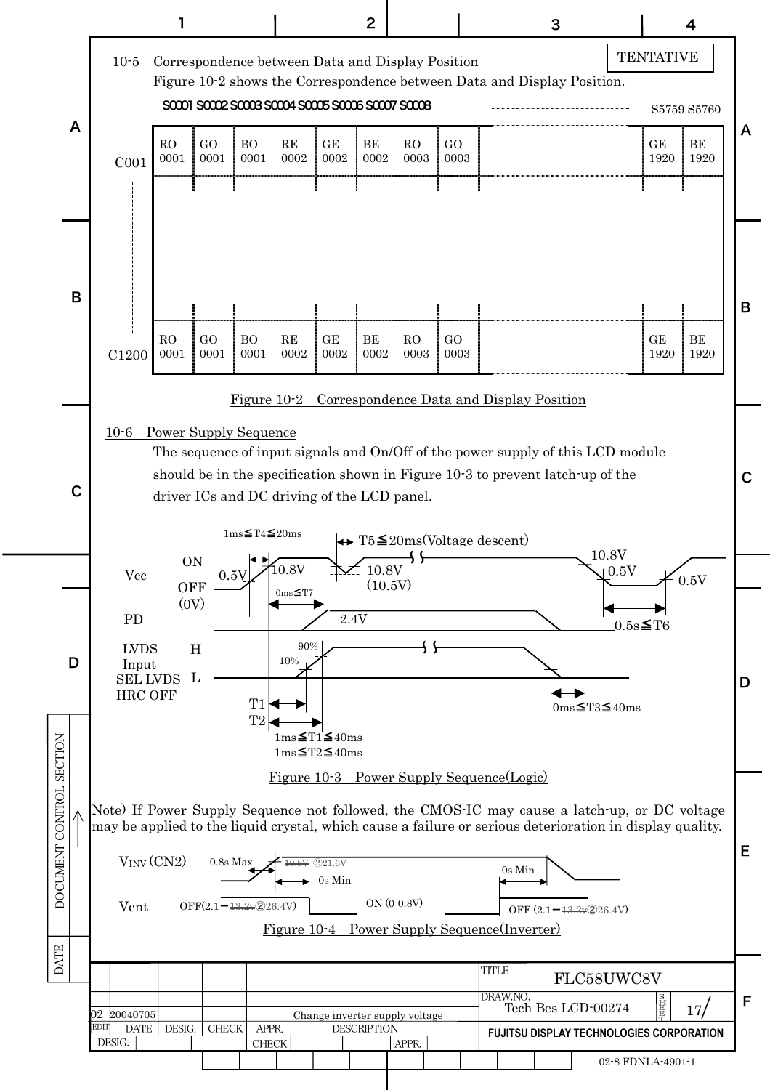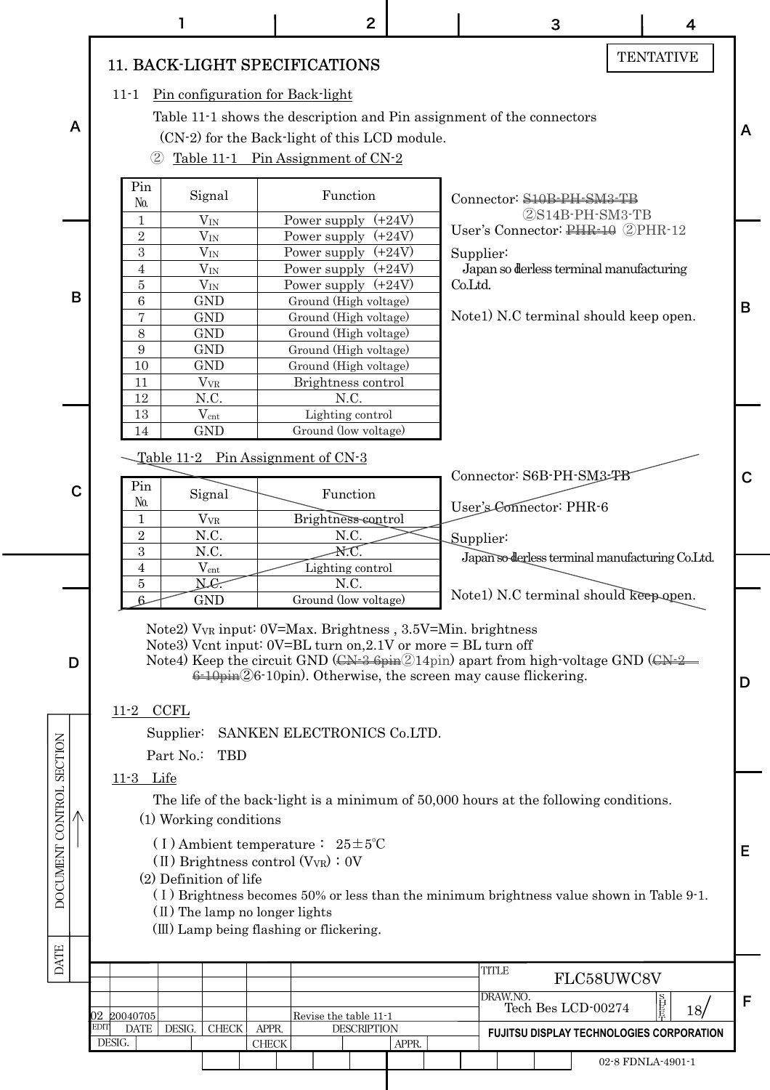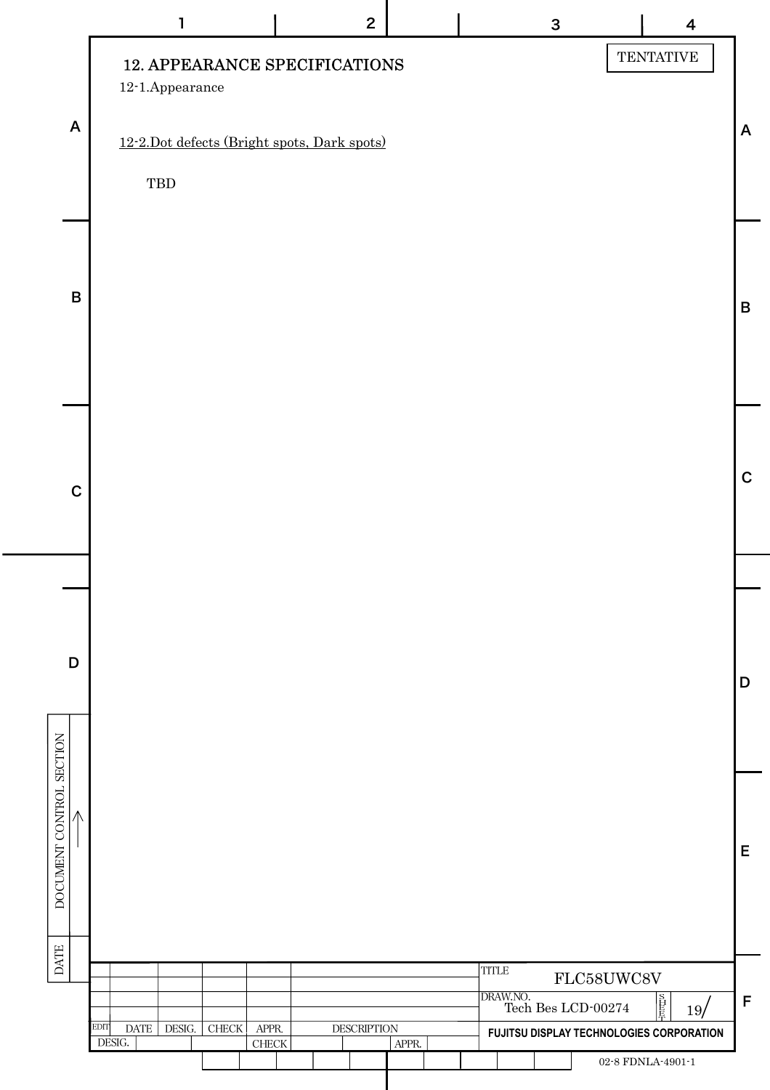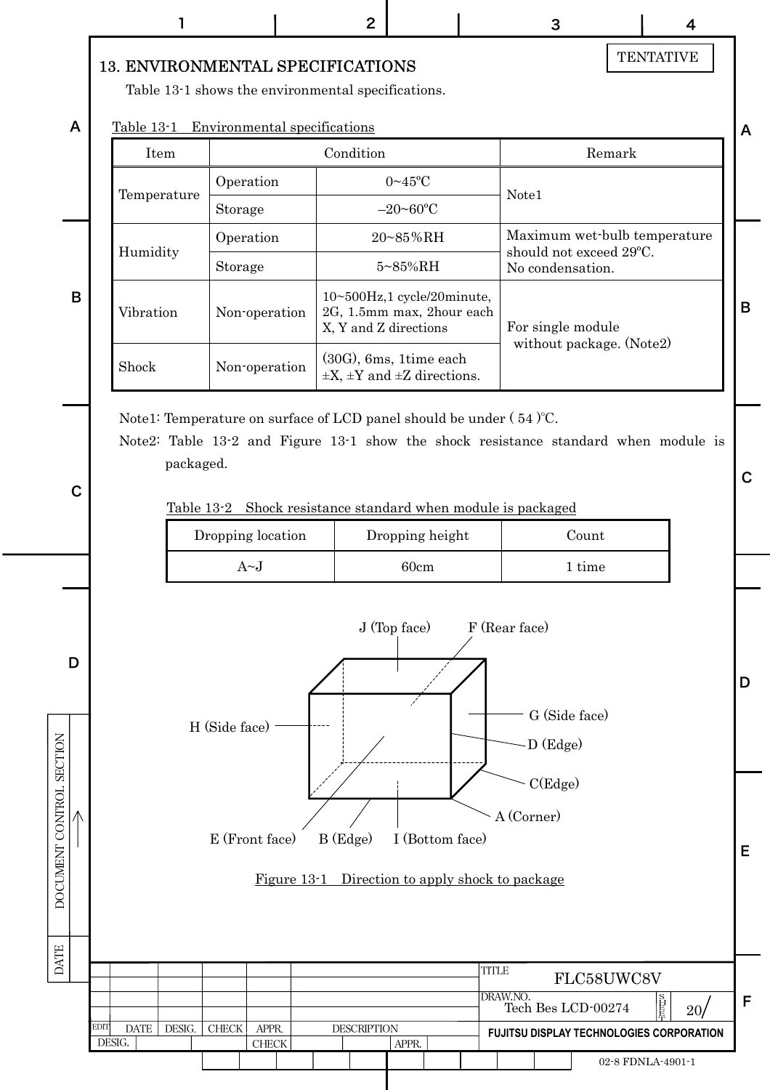#### 13. ENVIRONMENTAL SPECIFICATIONS

Table 13-1 shows the environmental specifications.

Table 13-1 Environmental specifications

|  | Table 13-1  | Environmental specifications |                                                                                           |                                               |  | A |  |
|--|-------------|------------------------------|-------------------------------------------------------------------------------------------|-----------------------------------------------|--|---|--|
|  | Item        |                              | Condition                                                                                 | Remark                                        |  |   |  |
|  |             | Operation                    | $0 \sim 45$ °C                                                                            | Note <sub>1</sub>                             |  |   |  |
|  | Temperature | Storage                      | $-20$ ~60 <sup>o</sup> C                                                                  |                                               |  |   |  |
|  |             | Operation                    | $20 - 85\% \text{RH}$                                                                     | Maximum wet-bulb temperature                  |  |   |  |
|  | Humidity    | Storage                      | $5 - 85\%$ RH                                                                             | should not exceed 29°C.<br>No condensation.   |  |   |  |
|  | Vibration   | Non-operation                | $10 \sim 500$ Hz, 1 cycle/20minute,<br>2G, 1.5mm max, 2hour each<br>X, Y and Z directions | For single module<br>without package. (Note2) |  | B |  |
|  | Shock       | Non-operation                | $(30G)$ , 6ms, 1time each<br>$\pm X$ , $\pm Y$ and $\pm Z$ directions.                    |                                               |  |   |  |

Note1: Temperature on surface of LCD panel should be under ( 54 )℃.

Note2: Table 13-2 and Figure 13-1 show the shock resistance standard when module is packaged.

C

D

DOCUMENT CONTROL SECTION

A

B

#### Table 13-2 Shock resistance standard when module is packaged

| Dropping location | Dropping height | Count  |  |  |  |
|-------------------|-----------------|--------|--|--|--|
| $A \sim I$        | 60cm            | 1 tıme |  |  |  |



#### Figure 13-1 Direction to apply shock to package



**TENTATIVE** 

C

D

E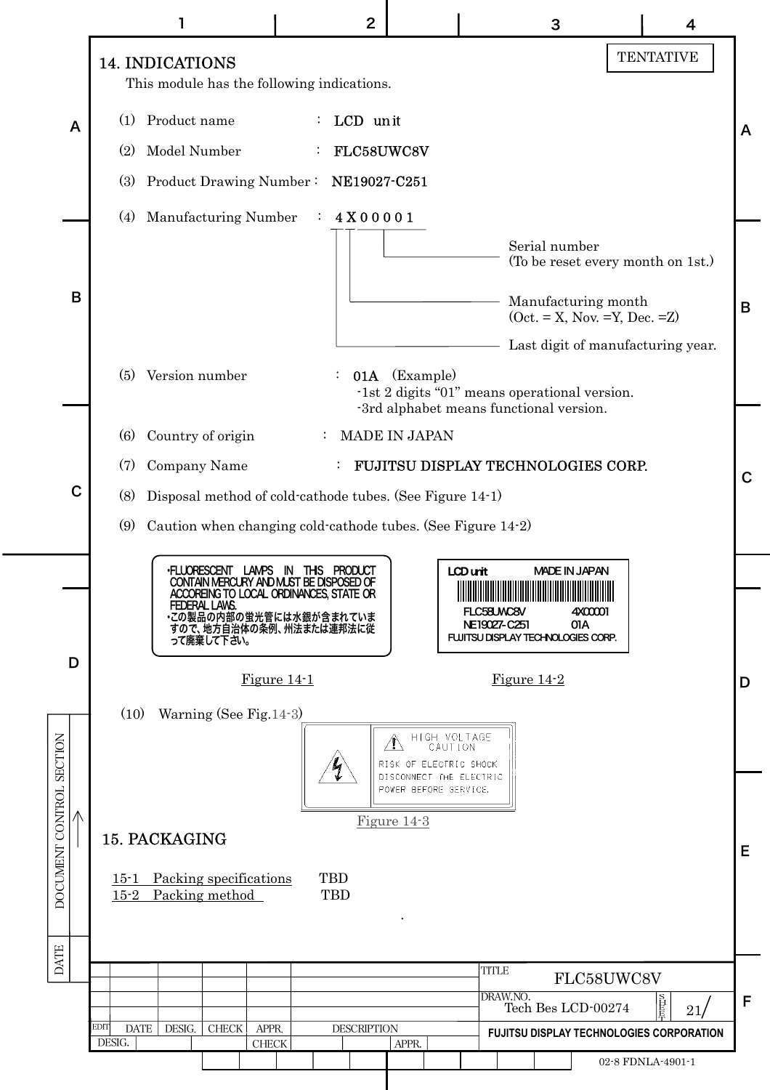|                                          |   |                                                                                                                                                            | $\overline{2}$        |                                                               | 3                                                                                                                                               | 4                                        |   |  |  |  |  |  |
|------------------------------------------|---|------------------------------------------------------------------------------------------------------------------------------------------------------------|-----------------------|---------------------------------------------------------------|-------------------------------------------------------------------------------------------------------------------------------------------------|------------------------------------------|---|--|--|--|--|--|
|                                          |   | 14. INDICATIONS                                                                                                                                            |                       |                                                               |                                                                                                                                                 | <b>TENTATIVE</b>                         |   |  |  |  |  |  |
|                                          |   | This module has the following indications.                                                                                                                 |                       |                                                               |                                                                                                                                                 |                                          |   |  |  |  |  |  |
|                                          | A | Product name<br>(1)                                                                                                                                        | : LCD unit            |                                                               |                                                                                                                                                 |                                          | A |  |  |  |  |  |
|                                          |   | Model Number<br>(2)                                                                                                                                        | FLC58UWC8V            |                                                               |                                                                                                                                                 |                                          |   |  |  |  |  |  |
|                                          |   |                                                                                                                                                            |                       |                                                               |                                                                                                                                                 |                                          |   |  |  |  |  |  |
|                                          |   | Manufacturing Number<br>(4)                                                                                                                                | 4X00001               |                                                               |                                                                                                                                                 |                                          |   |  |  |  |  |  |
|                                          |   |                                                                                                                                                            |                       |                                                               | Serial number                                                                                                                                   | (To be reset every month on 1st.)        |   |  |  |  |  |  |
|                                          | B |                                                                                                                                                            |                       |                                                               | Manufacturing month                                                                                                                             |                                          |   |  |  |  |  |  |
|                                          |   |                                                                                                                                                            |                       |                                                               | $(Oct. = X, Nov. =Y, Dec. =Z)$                                                                                                                  |                                          | B |  |  |  |  |  |
|                                          |   |                                                                                                                                                            |                       |                                                               |                                                                                                                                                 | Last digit of manufacturing year.        |   |  |  |  |  |  |
|                                          |   | Version number<br>(5)                                                                                                                                      |                       | <b>01A</b> (Example)                                          | -1st 2 digits "01" means operational version.                                                                                                   |                                          |   |  |  |  |  |  |
|                                          |   | -3rd alphabet means functional version.<br><b>MADE IN JAPAN</b><br>Country of origin<br>(6)<br>$\ddot{\cdot}$<br><b>FUJITSU DISPLAY TECHNOLOGIES CORP.</b> |                       |                                                               |                                                                                                                                                 |                                          |   |  |  |  |  |  |
|                                          |   |                                                                                                                                                            |                       |                                                               |                                                                                                                                                 |                                          |   |  |  |  |  |  |
|                                          | C | Company Name<br>(7)<br>Disposal method of cold-cathode tubes. (See Figure 14-1)<br>(8)                                                                     |                       |                                                               |                                                                                                                                                 |                                          |   |  |  |  |  |  |
|                                          |   | Caution when changing cold-cathode tubes. (See Figure 14-2)<br>(9)                                                                                         |                       |                                                               |                                                                                                                                                 |                                          |   |  |  |  |  |  |
|                                          |   |                                                                                                                                                            |                       |                                                               |                                                                                                                                                 |                                          |   |  |  |  |  |  |
|                                          |   | <b>·FLUORESCENT</b><br>CONTAIN MERCURY AND MUST BE DISPOSED OF<br>ACCOREING TO LOCAL ORDINANCES, STATE OR                                                  | LAMPS IN THIS PRODUCT | LCD unit                                                      | <b>MADE IN JAPAN</b><br><u> Indian American American Indian American Indian American Indian American Indian American Indian American Indian</u> |                                          |   |  |  |  |  |  |
|                                          |   | FEDERAL LAWS.<br>・この製品の内部の蛍光管には水銀が含まれていま<br>すので、地方自治体の条例、州法または連邦法に従                                                                                        |                       |                                                               | FLC58UWC8V<br>4X00001<br>NE19027-C251<br>01A                                                                                                    |                                          |   |  |  |  |  |  |
|                                          | D | って廃棄して下さい。                                                                                                                                                 |                       |                                                               | FUJITSU DISPLAY TECHNOLOGIES CORP.                                                                                                              |                                          |   |  |  |  |  |  |
|                                          |   | Figure $14-1$<br>Figure $14-2$                                                                                                                             |                       |                                                               |                                                                                                                                                 |                                          |   |  |  |  |  |  |
|                                          |   | Warning (See Fig. 14-3)<br>(10)                                                                                                                            |                       |                                                               |                                                                                                                                                 |                                          |   |  |  |  |  |  |
|                                          |   |                                                                                                                                                            |                       | HIGH VOLTAGE<br>CAUTION<br>$\Delta$<br>RISK OF ELECTRIC SHOCK |                                                                                                                                                 |                                          |   |  |  |  |  |  |
|                                          |   |                                                                                                                                                            |                       | DISCONNECT THE ELECTRIC<br>POWER BEFORE SERVICE,              |                                                                                                                                                 |                                          |   |  |  |  |  |  |
|                                          |   | Figure $14-3$                                                                                                                                              |                       |                                                               |                                                                                                                                                 |                                          |   |  |  |  |  |  |
| DOCUMENT CONTROL SECTION                 |   | 15. PACKAGING                                                                                                                                              |                       |                                                               |                                                                                                                                                 |                                          |   |  |  |  |  |  |
|                                          |   |                                                                                                                                                            |                       |                                                               |                                                                                                                                                 |                                          |   |  |  |  |  |  |
| <b>TBD</b><br>$15 - 2$<br>Packing method |   |                                                                                                                                                            |                       |                                                               |                                                                                                                                                 |                                          |   |  |  |  |  |  |
| <b>DATE</b>                              |   |                                                                                                                                                            |                       |                                                               |                                                                                                                                                 |                                          |   |  |  |  |  |  |
|                                          |   |                                                                                                                                                            |                       |                                                               | <b>TITLE</b>                                                                                                                                    | FLC58UWC8V                               | F |  |  |  |  |  |
|                                          |   | EDIT<br><b>DATE</b><br>DESIG.<br>${\rm CHECK}$                                                                                                             |                       |                                                               | DRAW.NO.<br>百長<br>Tech Bes LCD-00274<br>21/                                                                                                     |                                          |   |  |  |  |  |  |
|                                          |   | APPR.<br>DESIG.<br><b>CHECK</b>                                                                                                                            | <b>DESCRIPTION</b>    | APPR.                                                         |                                                                                                                                                 | FUJITSU DISPLAY TECHNOLOGIES CORPORATION |   |  |  |  |  |  |
|                                          |   |                                                                                                                                                            |                       |                                                               |                                                                                                                                                 | 02-8 FDNLA-4901-1                        |   |  |  |  |  |  |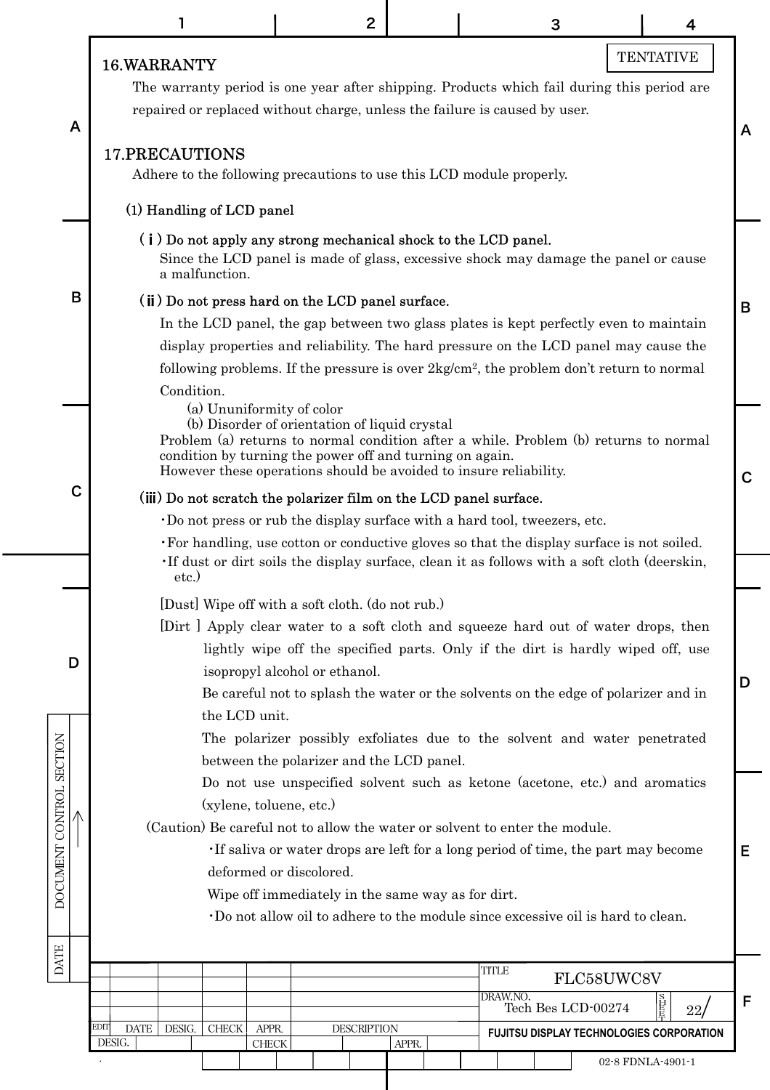|                          |                                                                                                    | 2                                                                                                                                                                                                                                                                      |       | 3                  |            | 4                                        |   |  |  |  |  |  |  |
|--------------------------|----------------------------------------------------------------------------------------------------|------------------------------------------------------------------------------------------------------------------------------------------------------------------------------------------------------------------------------------------------------------------------|-------|--------------------|------------|------------------------------------------|---|--|--|--|--|--|--|
|                          | 16. WARRANTY                                                                                       |                                                                                                                                                                                                                                                                        |       |                    |            | <b>TENTATIVE</b>                         |   |  |  |  |  |  |  |
| A                        |                                                                                                    | The warranty period is one year after shipping. Products which fail during this period are<br>repaired or replaced without charge, unless the failure is caused by user.<br>A                                                                                          |       |                    |            |                                          |   |  |  |  |  |  |  |
|                          | <b>17.PRECAUTIONS</b><br>Adhere to the following precautions to use this LCD module properly.      |                                                                                                                                                                                                                                                                        |       |                    |            |                                          |   |  |  |  |  |  |  |
|                          | (1) Handling of LCD panel                                                                          |                                                                                                                                                                                                                                                                        |       |                    |            |                                          |   |  |  |  |  |  |  |
|                          | (i) Do not apply any strong mechanical shock to the LCD panel.                                     |                                                                                                                                                                                                                                                                        |       |                    |            |                                          |   |  |  |  |  |  |  |
|                          | a malfunction.                                                                                     | Since the LCD panel is made of glass, excessive shock may damage the panel or cause                                                                                                                                                                                    |       |                    |            |                                          |   |  |  |  |  |  |  |
| B                        | (ii) Do not press hard on the LCD panel surface.                                                   |                                                                                                                                                                                                                                                                        |       |                    |            |                                          | B |  |  |  |  |  |  |
|                          |                                                                                                    | In the LCD panel, the gap between two glass plates is kept perfectly even to maintain<br>display properties and reliability. The hard pressure on the LCD panel may cause the                                                                                          |       |                    |            |                                          |   |  |  |  |  |  |  |
|                          | following problems. If the pressure is over $2\text{kg/cm}^2$ , the problem don't return to normal |                                                                                                                                                                                                                                                                        |       |                    |            |                                          |   |  |  |  |  |  |  |
|                          | Condition.                                                                                         |                                                                                                                                                                                                                                                                        |       |                    |            |                                          |   |  |  |  |  |  |  |
|                          | (a) Ununiformity of color                                                                          |                                                                                                                                                                                                                                                                        |       |                    |            |                                          |   |  |  |  |  |  |  |
|                          |                                                                                                    | (b) Disorder of orientation of liquid crystal<br>Problem (a) returns to normal condition after a while. Problem (b) returns to normal<br>condition by turning the power off and turning on again.<br>However these operations should be avoided to insure reliability. |       |                    |            |                                          |   |  |  |  |  |  |  |
| C                        | (iii) Do not scratch the polarizer film on the LCD panel surface.                                  |                                                                                                                                                                                                                                                                        |       |                    |            |                                          | C |  |  |  |  |  |  |
|                          | Do not press or rub the display surface with a hard tool, tweezers, etc.                           |                                                                                                                                                                                                                                                                        |       |                    |            |                                          |   |  |  |  |  |  |  |
|                          |                                                                                                    | • For handling, use cotton or conductive gloves so that the display surface is not soiled.                                                                                                                                                                             |       |                    |            |                                          |   |  |  |  |  |  |  |
|                          | etc.                                                                                               | If dust or dirt soils the display surface, clean it as follows with a soft cloth (deerskin,                                                                                                                                                                            |       |                    |            |                                          |   |  |  |  |  |  |  |
|                          |                                                                                                    | [Dust] Wipe off with a soft cloth. (do not rub.)                                                                                                                                                                                                                       |       |                    |            |                                          |   |  |  |  |  |  |  |
|                          |                                                                                                    | [Dirt] Apply clear water to a soft cloth and squeeze hard out of water drops, then                                                                                                                                                                                     |       |                    |            |                                          |   |  |  |  |  |  |  |
|                          |                                                                                                    | lightly wipe off the specified parts. Only if the dirt is hardly wiped off, use                                                                                                                                                                                        |       |                    |            |                                          |   |  |  |  |  |  |  |
| D                        |                                                                                                    | isopropyl alcohol or ethanol.                                                                                                                                                                                                                                          |       |                    |            |                                          | D |  |  |  |  |  |  |
|                          |                                                                                                    | Be careful not to splash the water or the solvents on the edge of polarizer and in                                                                                                                                                                                     |       |                    |            |                                          |   |  |  |  |  |  |  |
|                          | the LCD unit.                                                                                      |                                                                                                                                                                                                                                                                        |       |                    |            |                                          |   |  |  |  |  |  |  |
|                          |                                                                                                    | The polarizer possibly exfoliates due to the solvent and water penetrated<br>between the polarizer and the LCD panel.                                                                                                                                                  |       |                    |            |                                          |   |  |  |  |  |  |  |
|                          |                                                                                                    |                                                                                                                                                                                                                                                                        |       |                    |            |                                          |   |  |  |  |  |  |  |
|                          |                                                                                                    | Do not use unspecified solvent such as ketone (acetone, etc.) and aromatics<br>(xylene, toluene, etc.)                                                                                                                                                                 |       |                    |            |                                          |   |  |  |  |  |  |  |
| DOCUMENT CONTROL SECTION | (Caution) Be careful not to allow the water or solvent to enter the module.                        |                                                                                                                                                                                                                                                                        |       |                    |            |                                          |   |  |  |  |  |  |  |
|                          |                                                                                                    | If saliva or water drops are left for a long period of time, the part may become<br>Е                                                                                                                                                                                  |       |                    |            |                                          |   |  |  |  |  |  |  |
|                          |                                                                                                    | deformed or discolored.<br>Wipe off immediately in the same way as for dirt.                                                                                                                                                                                           |       |                    |            |                                          |   |  |  |  |  |  |  |
|                          |                                                                                                    | Do not allow oil to adhere to the module since excessive oil is hard to clean.                                                                                                                                                                                         |       |                    |            |                                          |   |  |  |  |  |  |  |
|                          |                                                                                                    |                                                                                                                                                                                                                                                                        |       |                    |            |                                          |   |  |  |  |  |  |  |
| <b>DATE</b>              |                                                                                                    |                                                                                                                                                                                                                                                                        |       | <b>TITLE</b>       |            |                                          |   |  |  |  |  |  |  |
|                          |                                                                                                    |                                                                                                                                                                                                                                                                        |       | DRAW.NO.           | FLC58UWC8V |                                          |   |  |  |  |  |  |  |
|                          |                                                                                                    |                                                                                                                                                                                                                                                                        |       | Tech Bes LCD-00274 |            | 22 <sub>l</sub>                          | F |  |  |  |  |  |  |
|                          | EDIT<br><b>DATE</b><br>DESIG.<br><b>CHECK</b><br>DESIG.                                            | <b>DESCRIPTION</b><br>APPR.<br><b>CHECK</b>                                                                                                                                                                                                                            | APPR. |                    |            | FUJITSU DISPLAY TECHNOLOGIES CORPORATION |   |  |  |  |  |  |  |
|                          |                                                                                                    |                                                                                                                                                                                                                                                                        |       |                    |            | 02-8 FDNLA-4901-1                        |   |  |  |  |  |  |  |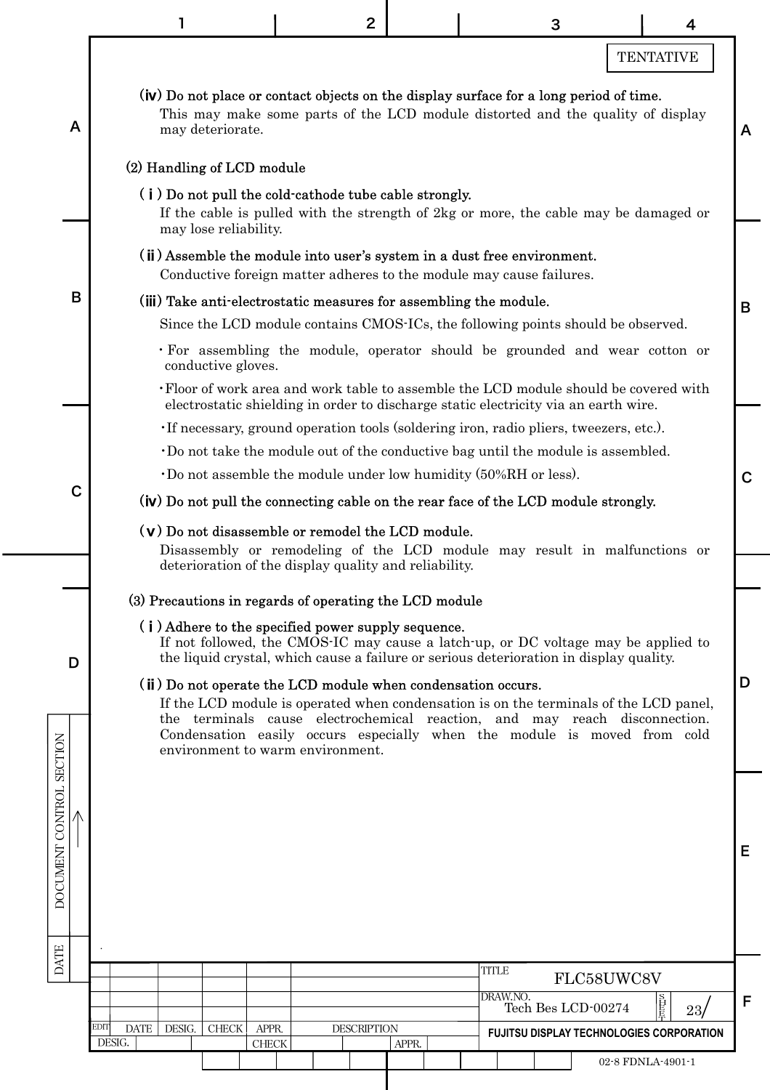|                          |                                                                                                                                                                                                                                                                                                                                                     |       | $\overline{2}$     |                                                                                     | 3                  |                  | 4   |
|--------------------------|-----------------------------------------------------------------------------------------------------------------------------------------------------------------------------------------------------------------------------------------------------------------------------------------------------------------------------------------------------|-------|--------------------|-------------------------------------------------------------------------------------|--------------------|------------------|-----|
|                          |                                                                                                                                                                                                                                                                                                                                                     |       |                    |                                                                                     |                    | <b>TENTATIVE</b> |     |
| A                        | (iv) Do not place or contact objects on the display surface for a long period of time.<br>This may make some parts of the LCD module distorted and the quality of display<br>may deteriorate.                                                                                                                                                       |       |                    |                                                                                     |                    |                  |     |
|                          | (2) Handling of LCD module<br>(i) Do not pull the cold-cathode tube cable strongly.<br>If the cable is pulled with the strength of 2kg or more, the cable may be damaged or<br>may lose reliability.                                                                                                                                                |       |                    |                                                                                     |                    |                  |     |
|                          | (ii) Assemble the module into user's system in a dust free environment.<br>Conductive foreign matter adheres to the module may cause failures.                                                                                                                                                                                                      |       |                    |                                                                                     |                    |                  |     |
| B                        | (iii) Take anti-electrostatic measures for assembling the module.                                                                                                                                                                                                                                                                                   |       |                    |                                                                                     |                    |                  |     |
|                          | Since the LCD module contains CMOS-ICs, the following points should be observed.                                                                                                                                                                                                                                                                    |       |                    |                                                                                     |                    |                  |     |
|                          | · For assembling the module, operator should be grounded and wear cotton or<br>conductive gloves.                                                                                                                                                                                                                                                   |       |                    |                                                                                     |                    |                  |     |
|                          | . Floor of work area and work table to assemble the LCD module should be covered with                                                                                                                                                                                                                                                               |       |                    | electrostatic shielding in order to discharge static electricity via an earth wire. |                    |                  |     |
|                          | . If necessary, ground operation tools (soldering iron, radio pliers, tweezers, etc.).                                                                                                                                                                                                                                                              |       |                    |                                                                                     |                    |                  |     |
|                          | Do not take the module out of the conductive bag until the module is assembled.                                                                                                                                                                                                                                                                     |       |                    |                                                                                     |                    |                  |     |
| $\mathbf C$              | $\cdot$ Do not assemble the module under low humidity (50%RH or less).                                                                                                                                                                                                                                                                              |       |                    |                                                                                     |                    |                  |     |
|                          | (iv) Do not pull the connecting cable on the rear face of the LCD module strongly.                                                                                                                                                                                                                                                                  |       |                    |                                                                                     |                    |                  |     |
|                          | $(v)$ Do not disassemble or remodel the LCD module.                                                                                                                                                                                                                                                                                                 |       |                    |                                                                                     |                    |                  |     |
|                          | Disassembly or remodeling of the LCD module may result in malfunctions or<br>deterioration of the display quality and reliability.                                                                                                                                                                                                                  |       |                    |                                                                                     |                    |                  |     |
|                          |                                                                                                                                                                                                                                                                                                                                                     |       |                    |                                                                                     |                    |                  |     |
|                          | (3) Precautions in regards of operating the LCD module                                                                                                                                                                                                                                                                                              |       |                    |                                                                                     |                    |                  |     |
| D                        | (i) Adhere to the specified power supply sequence.<br>If not followed, the CMOS-IC may cause a latch-up, or DC voltage may be applied to<br>the liquid crystal, which cause a failure or serious deterioration in display quality.                                                                                                                  |       |                    |                                                                                     |                    |                  |     |
|                          | (ii) Do not operate the LCD module when condensation occurs.<br>If the LCD module is operated when condensation is on the terminals of the LCD panel,<br>the terminals cause electrochemical reaction, and may reach disconnection.<br>Condensation easily occurs especially when the module is moved from cold<br>environment to warm environment. |       |                    |                                                                                     |                    |                  |     |
| DOCUMENT CONTROL SECTION |                                                                                                                                                                                                                                                                                                                                                     |       |                    |                                                                                     |                    |                  |     |
| <b>DATE</b>              |                                                                                                                                                                                                                                                                                                                                                     |       |                    | <b>TITLE</b>                                                                        |                    |                  |     |
|                          |                                                                                                                                                                                                                                                                                                                                                     |       |                    | DRAW.NO.                                                                            |                    | FLC58UWC8V       |     |
|                          |                                                                                                                                                                                                                                                                                                                                                     |       |                    |                                                                                     | Tech Bes LCD-00274 |                  | 23/ |
| EDIT                     | DATE   DESIG.<br><b>CHECK</b>                                                                                                                                                                                                                                                                                                                       | APPR. | <b>DESCRIPTION</b> |                                                                                     |                    |                  |     |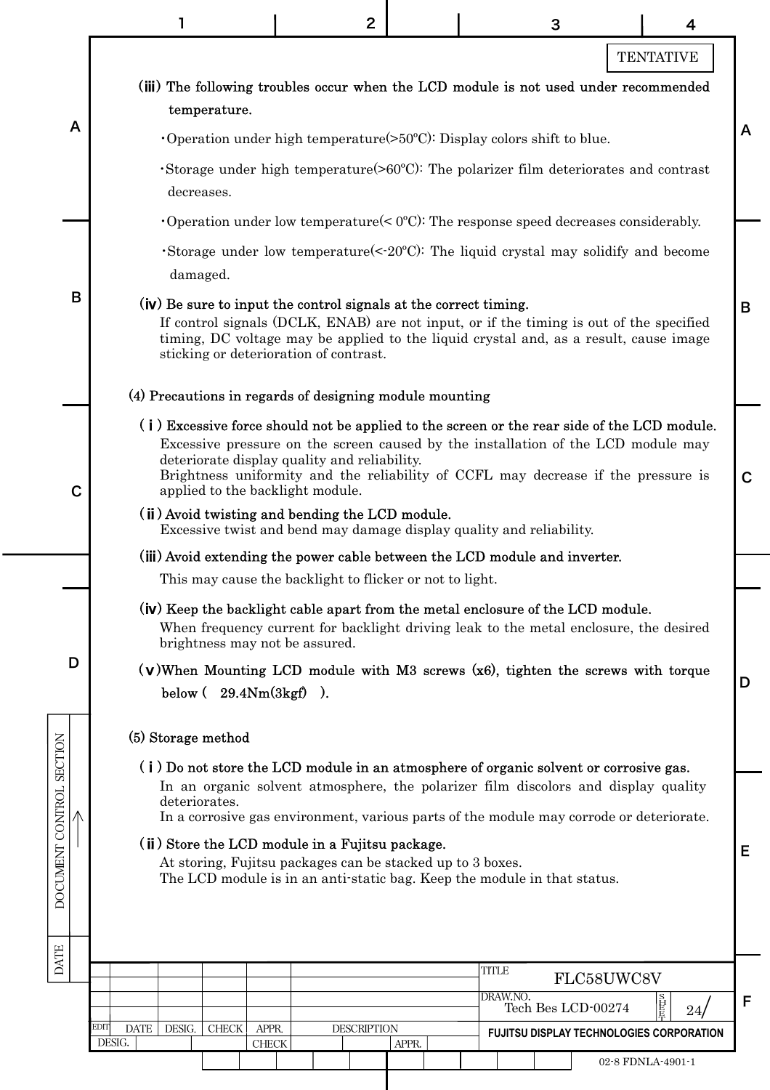|                          | $\overline{2}$<br>3<br>4                                                                                                                                                                                                                                                                                                                                  |   |  |  |  |  |  |  |  |  |  |  |  |
|--------------------------|-----------------------------------------------------------------------------------------------------------------------------------------------------------------------------------------------------------------------------------------------------------------------------------------------------------------------------------------------------------|---|--|--|--|--|--|--|--|--|--|--|--|
|                          | <b>TENTATIVE</b>                                                                                                                                                                                                                                                                                                                                          |   |  |  |  |  |  |  |  |  |  |  |  |
|                          | (iii) The following troubles occur when the LCD module is not used under recommended<br>temperature.                                                                                                                                                                                                                                                      |   |  |  |  |  |  |  |  |  |  |  |  |
| A                        | Operation under high temperature( $>50^{\circ}$ C): Display colors shift to blue.                                                                                                                                                                                                                                                                         |   |  |  |  |  |  |  |  |  |  |  |  |
|                          | Storage under high temperature $(80^{\circ}C)$ . The polarizer film deteriorates and contrast<br>decreases.                                                                                                                                                                                                                                               |   |  |  |  |  |  |  |  |  |  |  |  |
|                          | Operation under low temperature $(0^{\circ}C)$ : The response speed decreases considerably.                                                                                                                                                                                                                                                               |   |  |  |  |  |  |  |  |  |  |  |  |
|                          | Storage under low temperature(<-20°C): The liquid crystal may solidify and become<br>damaged.                                                                                                                                                                                                                                                             |   |  |  |  |  |  |  |  |  |  |  |  |
| B                        | (iv) Be sure to input the control signals at the correct timing.<br>If control signals (DCLK, ENAB) are not input, or if the timing is out of the specified<br>timing, DC voltage may be applied to the liquid crystal and, as a result, cause image<br>sticking or deterioration of contrast.                                                            |   |  |  |  |  |  |  |  |  |  |  |  |
|                          | (4) Precautions in regards of designing module mounting                                                                                                                                                                                                                                                                                                   |   |  |  |  |  |  |  |  |  |  |  |  |
| C                        | (i) Excessive force should not be applied to the screen or the rear side of the LCD module.<br>Excessive pressure on the screen caused by the installation of the LCD module may<br>deteriorate display quality and reliability.<br>Brightness uniformity and the reliability of CCFL may decrease if the pressure is<br>applied to the backlight module. |   |  |  |  |  |  |  |  |  |  |  |  |
|                          | (ii) Avoid twisting and bending the LCD module.<br>Excessive twist and bend may damage display quality and reliability.                                                                                                                                                                                                                                   |   |  |  |  |  |  |  |  |  |  |  |  |
|                          | (iii) Avoid extending the power cable between the LCD module and inverter.<br>This may cause the backlight to flicker or not to light.                                                                                                                                                                                                                    |   |  |  |  |  |  |  |  |  |  |  |  |
|                          | (iv) Keep the backlight cable apart from the metal enclosure of the LCD module.                                                                                                                                                                                                                                                                           |   |  |  |  |  |  |  |  |  |  |  |  |
|                          | When frequency current for backlight driving leak to the metal enclosure, the desired<br>brightness may not be assured.                                                                                                                                                                                                                                   |   |  |  |  |  |  |  |  |  |  |  |  |
| D                        | $(v)$ When Mounting LCD module with M3 screws $(x6)$ , tighten the screws with torque<br>below $(29.4Nm(3kgf)$ .                                                                                                                                                                                                                                          |   |  |  |  |  |  |  |  |  |  |  |  |
|                          | (5) Storage method                                                                                                                                                                                                                                                                                                                                        |   |  |  |  |  |  |  |  |  |  |  |  |
|                          | (i) Do not store the LCD module in an atmosphere of organic solvent or corrosive gas.                                                                                                                                                                                                                                                                     |   |  |  |  |  |  |  |  |  |  |  |  |
| DOCUMENT CONTROL SECTION | In an organic solvent atmosphere, the polarizer film discolors and display quality<br>deteriorates.                                                                                                                                                                                                                                                       |   |  |  |  |  |  |  |  |  |  |  |  |
|                          | In a corrosive gas environment, various parts of the module may corrode or deteriorate.                                                                                                                                                                                                                                                                   |   |  |  |  |  |  |  |  |  |  |  |  |
|                          | (ii) Store the LCD module in a Fujitsu package.<br>At storing, Fujitsu packages can be stacked up to 3 boxes.                                                                                                                                                                                                                                             | Е |  |  |  |  |  |  |  |  |  |  |  |
|                          | The LCD module is in an anti-static bag. Keep the module in that status.                                                                                                                                                                                                                                                                                  |   |  |  |  |  |  |  |  |  |  |  |  |
|                          |                                                                                                                                                                                                                                                                                                                                                           |   |  |  |  |  |  |  |  |  |  |  |  |
| <b>DATE</b>              | <b>TITLE</b>                                                                                                                                                                                                                                                                                                                                              |   |  |  |  |  |  |  |  |  |  |  |  |
|                          | FLC58UWC8V<br>DRAW.NO.<br>自目<br>Tech Bes LCD-00274                                                                                                                                                                                                                                                                                                        | F |  |  |  |  |  |  |  |  |  |  |  |
|                          | 24<br>EDIT<br>DATE<br>DESIG.<br><b>CHECK</b><br>APPR.<br><b>DESCRIPTION</b><br>FUJITSU DISPLAY TECHNOLOGIES CORPORATION                                                                                                                                                                                                                                   |   |  |  |  |  |  |  |  |  |  |  |  |
|                          | DESIG.<br><b>CHECK</b><br>APPR.<br>02-8 FDNLA-4901-1                                                                                                                                                                                                                                                                                                      |   |  |  |  |  |  |  |  |  |  |  |  |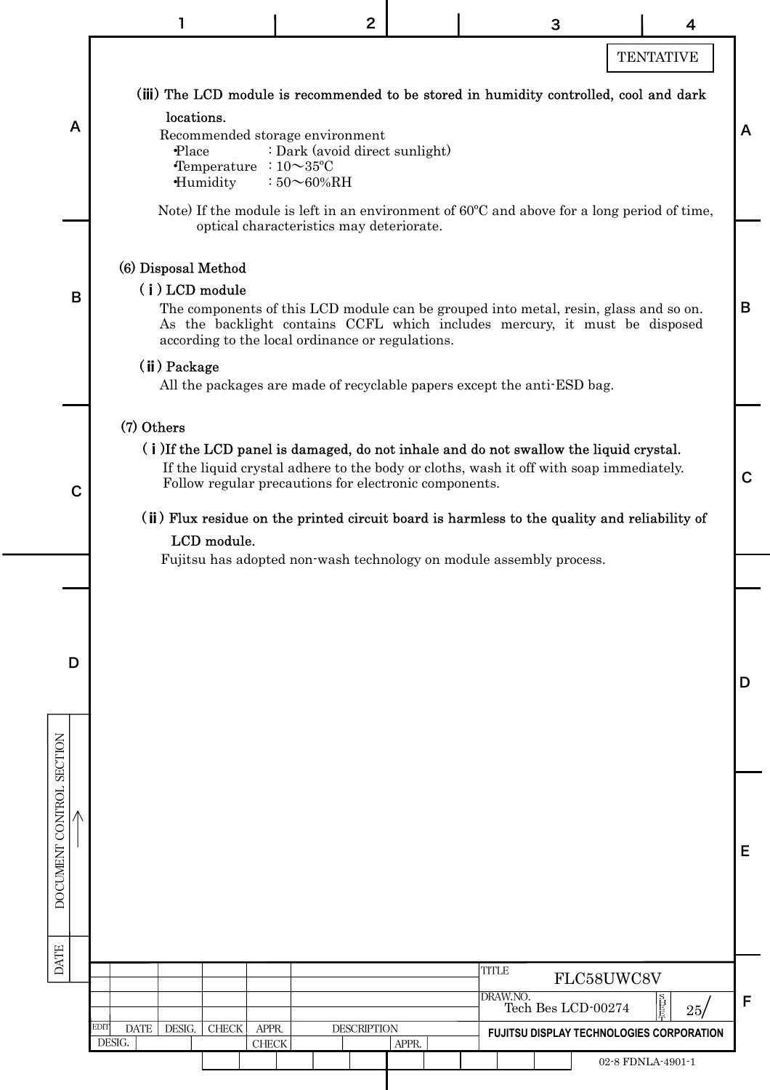|                                                                                                                                                                                                                                                                                                                                                                                      |                                                                                                             | $\mathbf{2}$                                                                                                         |       | 3                                                                                                                                                                                                                                             | 4                                        |   |  |  |
|--------------------------------------------------------------------------------------------------------------------------------------------------------------------------------------------------------------------------------------------------------------------------------------------------------------------------------------------------------------------------------------|-------------------------------------------------------------------------------------------------------------|----------------------------------------------------------------------------------------------------------------------|-------|-----------------------------------------------------------------------------------------------------------------------------------------------------------------------------------------------------------------------------------------------|------------------------------------------|---|--|--|
|                                                                                                                                                                                                                                                                                                                                                                                      |                                                                                                             |                                                                                                                      |       |                                                                                                                                                                                                                                               | <b>TENTATIVE</b>                         |   |  |  |
| A                                                                                                                                                                                                                                                                                                                                                                                    | locations.<br>Recommended storage environment<br>Place<br>Temperature<br>Humidity                           | : Dark (avoid direct sunlight)<br>: $10\sim 35$ °C<br>$:50\infty60\%$ RH<br>optical characteristics may deteriorate. |       | (iii) The LCD module is recommended to be stored in humidity controlled, cool and dark<br>Note) If the module is left in an environment of 60°C and above for a long period of time,                                                          |                                          | A |  |  |
| B                                                                                                                                                                                                                                                                                                                                                                                    | (6) Disposal Method<br>$(i)$ LCD module<br>according to the local ordinance or regulations.<br>(ii) Package |                                                                                                                      |       | The components of this LCD module can be grouped into metal, resin, glass and so on.<br>As the backlight contains CCFL which includes mercury, it must be disposed<br>All the packages are made of recyclable papers except the anti-ESD bag. |                                          | B |  |  |
| (7) Others<br>(i) If the LCD panel is damaged, do not inhale and do not swallow the liquid crystal.<br>If the liquid crystal adhere to the body or cloths, wash it off with soap immediately.<br>Follow regular precautions for electronic components.<br>$\mathbf C$<br>(ii) Flux residue on the printed circuit board is harmless to the quality and reliability of<br>LCD module. |                                                                                                             |                                                                                                                      |       |                                                                                                                                                                                                                                               |                                          |   |  |  |
|                                                                                                                                                                                                                                                                                                                                                                                      |                                                                                                             |                                                                                                                      |       | Fujitsu has adopted non-wash technology on module assembly process.                                                                                                                                                                           |                                          |   |  |  |
| D                                                                                                                                                                                                                                                                                                                                                                                    |                                                                                                             |                                                                                                                      |       |                                                                                                                                                                                                                                               |                                          | D |  |  |
| DOCUMENT CONTROL SECTION                                                                                                                                                                                                                                                                                                                                                             |                                                                                                             |                                                                                                                      |       |                                                                                                                                                                                                                                               |                                          | E |  |  |
| <b>DATE</b>                                                                                                                                                                                                                                                                                                                                                                          |                                                                                                             |                                                                                                                      |       | <b>TITLE</b>                                                                                                                                                                                                                                  |                                          |   |  |  |
|                                                                                                                                                                                                                                                                                                                                                                                      |                                                                                                             |                                                                                                                      |       | DRAW.NO.<br>Tech Bes LCD-00274                                                                                                                                                                                                                | FLC58UWC8V<br>旨臣<br>25/                  | F |  |  |
|                                                                                                                                                                                                                                                                                                                                                                                      | EDIT<br><b>DATE</b><br>DESIG.<br><b>CHECK</b><br>APPR.<br>DESIG.<br><b>CHECK</b>                            | <b>DESCRIPTION</b>                                                                                                   | APPR. |                                                                                                                                                                                                                                               | FUJITSU DISPLAY TECHNOLOGIES CORPORATION |   |  |  |
|                                                                                                                                                                                                                                                                                                                                                                                      |                                                                                                             |                                                                                                                      |       |                                                                                                                                                                                                                                               | 02-8 FDNLA-4901-1                        |   |  |  |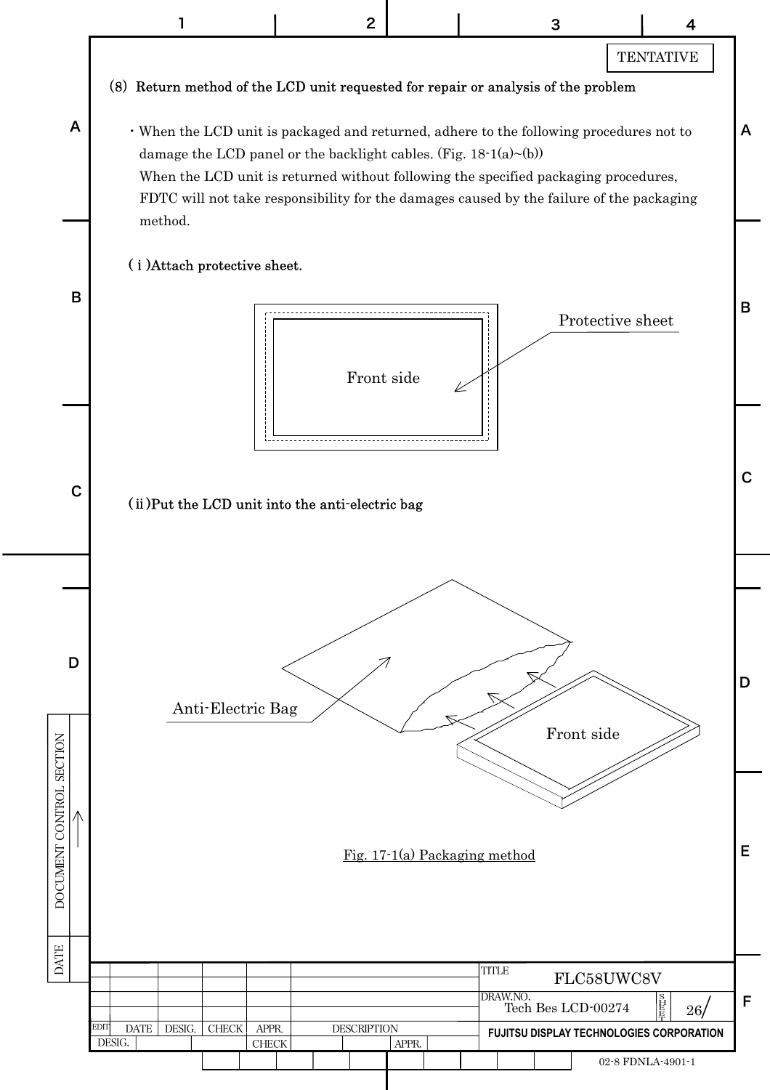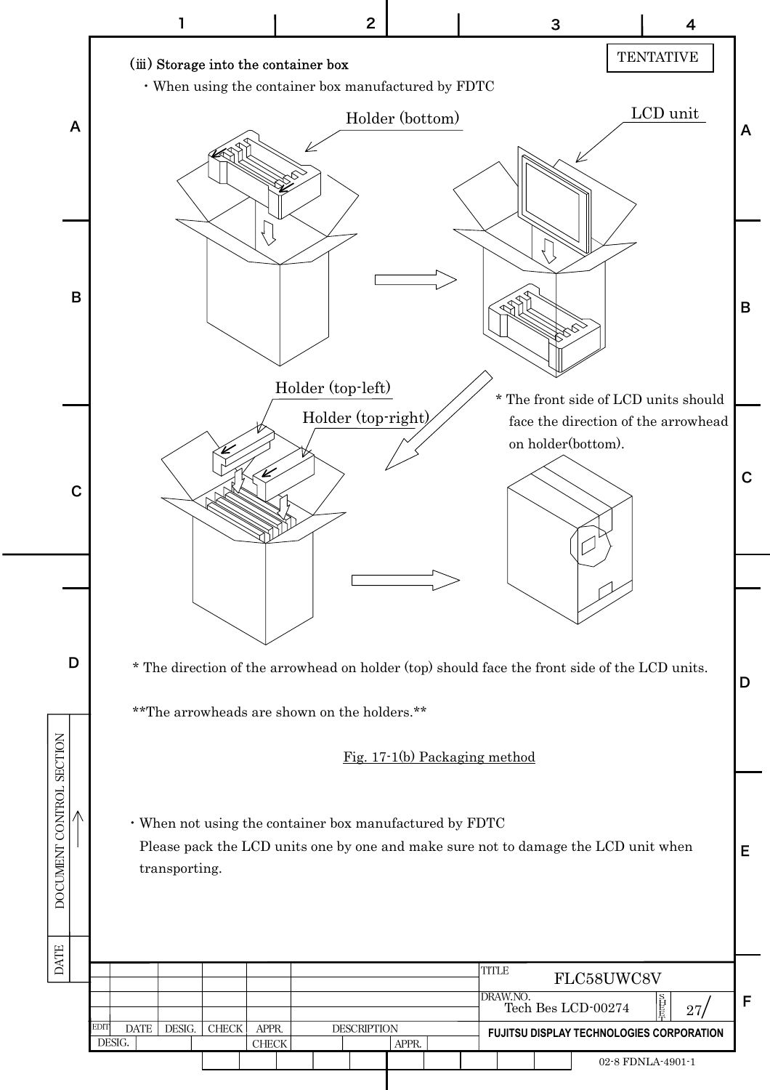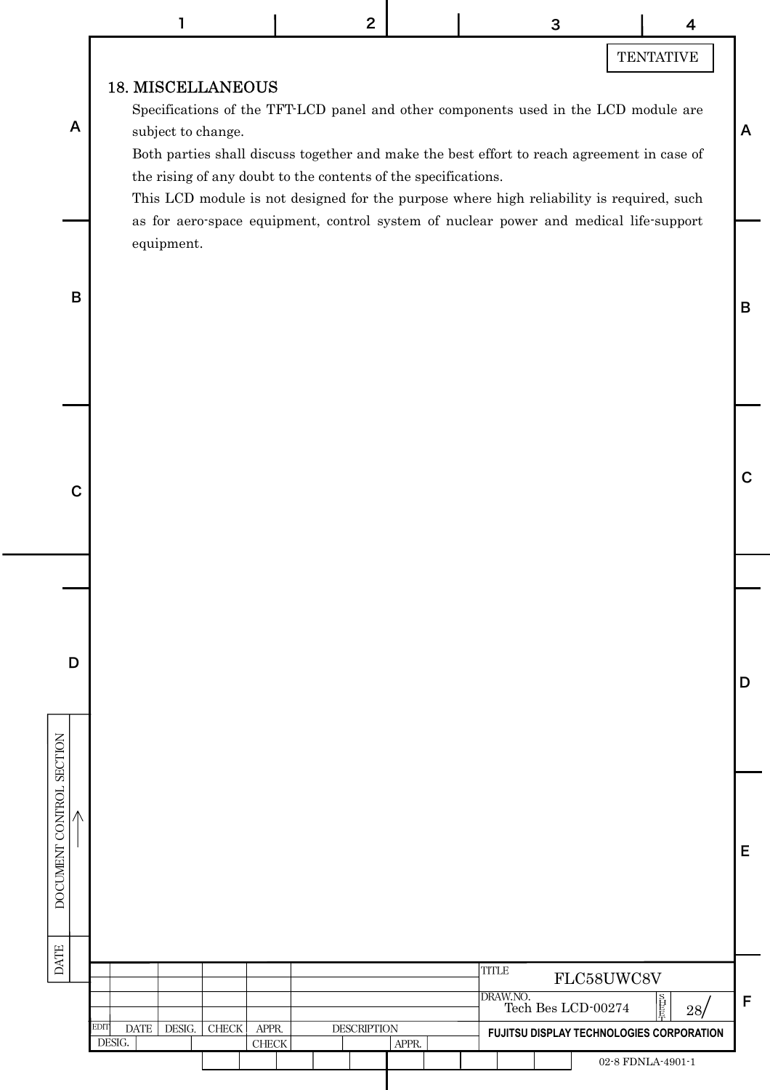# **TENTATIVE**

D

C

B

A

E

### 18. MISCELLANEOUS

Specifications of the TFT-LCD panel and other components used in the LCD module are subject to change.

Both parties shall discuss together and make the best effort to reach agreement in case of the rising of any doubt to the contents of the specifications.

This LCD module is not designed for the purpose where high reliability is required, such as for aero-space equipment, control system of nuclear power and medical life-support equipment.



C

D

DATE DOCUMENT CONTROL SECTION

**DATE** 

DOCUMENT CONTROL SECTION  $\overline{\Lambda}$ 

A

|                                                      |  |       |                    |  |  |       |  | TITLE<br>FLC58UWC8V                             |                                            |  |                   |  |   |  |
|------------------------------------------------------|--|-------|--------------------|--|--|-------|--|-------------------------------------------------|--------------------------------------------|--|-------------------|--|---|--|
|                                                      |  |       |                    |  |  |       |  |                                                 | DRAW.NO.<br>直長<br>Tech Bes LCD-00274<br>28 |  |                   |  | F |  |
| <b>EDIT</b><br><b>DATE</b><br>DESIG.<br><b>CHECK</b> |  | APPR. | <b>DESCRIPTION</b> |  |  |       |  | <b>FUJITSU DISPLAY TECHNOLOGIES CORPORATION</b> |                                            |  |                   |  |   |  |
| DESIG.                                               |  |       | <b>CHECK</b>       |  |  | APPR. |  |                                                 |                                            |  |                   |  |   |  |
|                                                      |  |       |                    |  |  |       |  |                                                 |                                            |  | 02-8 FDNLA-4901-1 |  |   |  |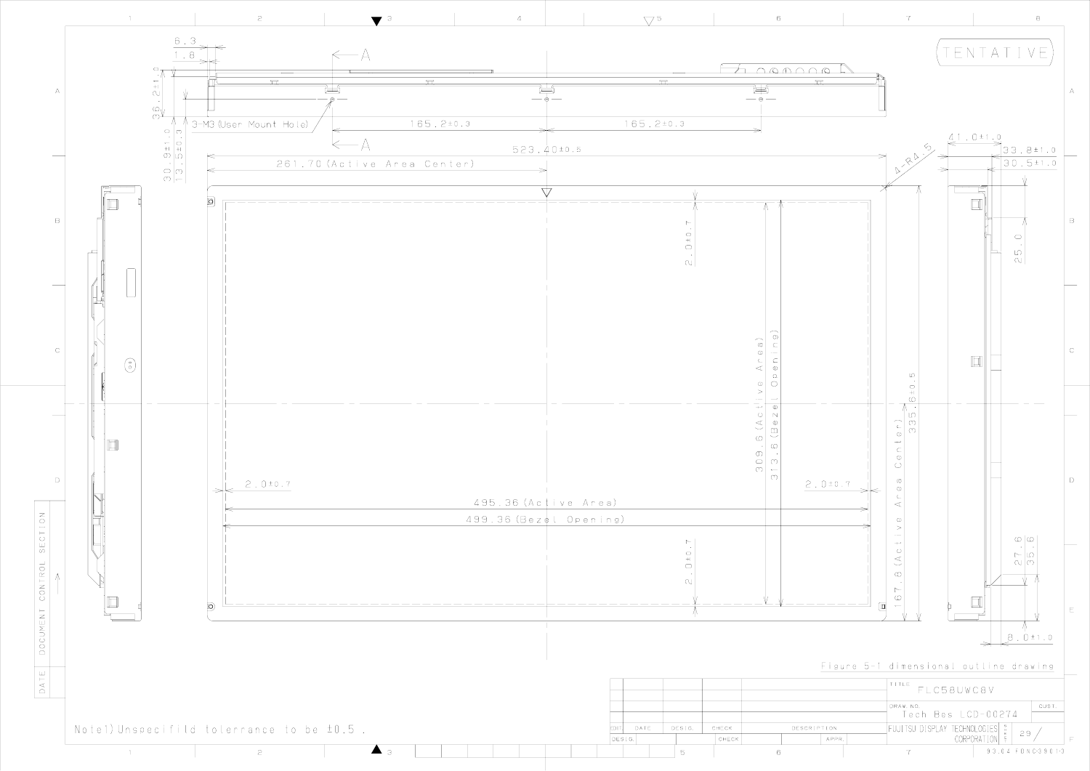